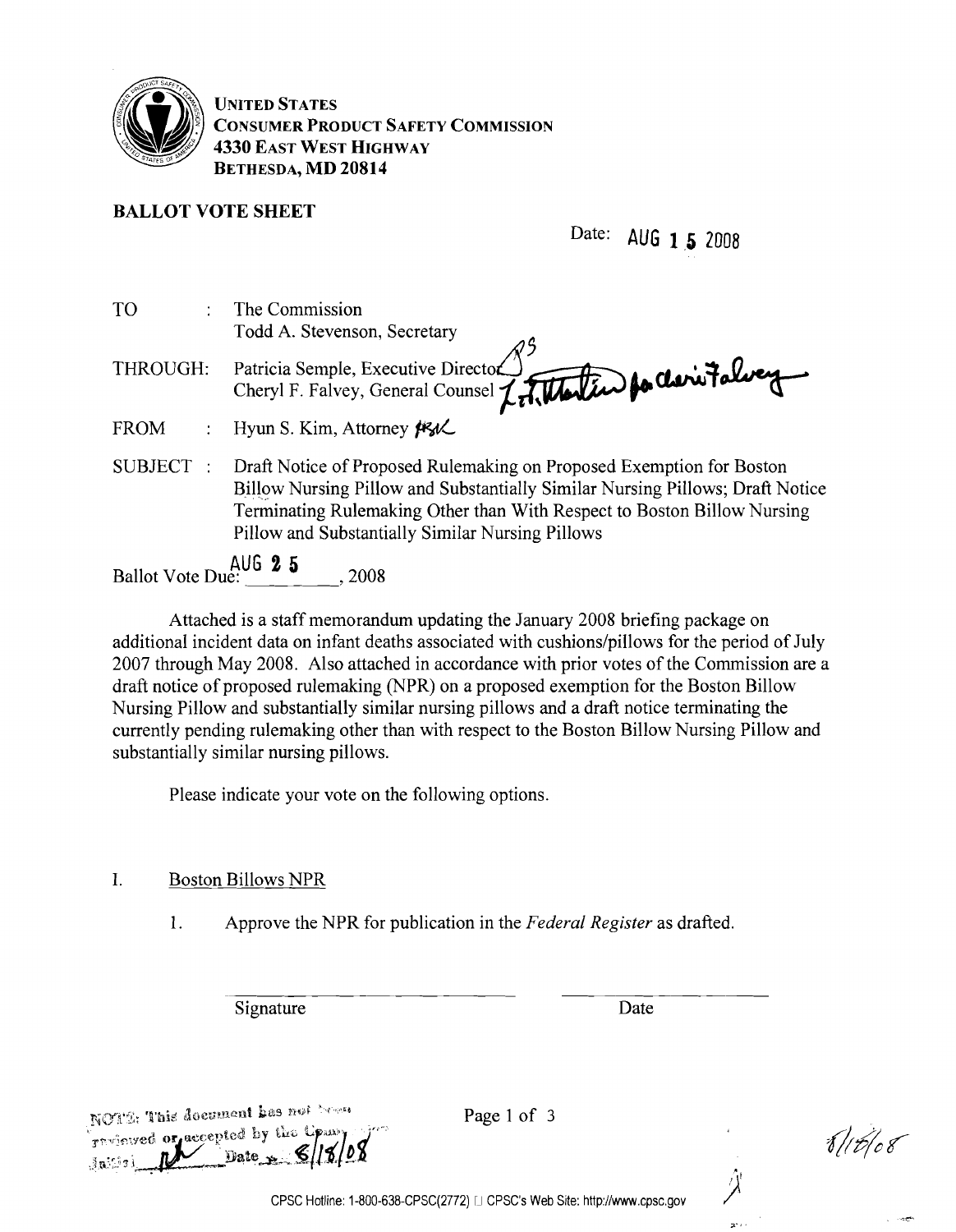

UNITED STATES CONSUMER PRODUCT SAFETY COMMISSION 4330 EAST WEST HIGHWAY BETHESDA, MD 20814

# BALLOT VOTE SHEET

Date: AUG 1 5 2008

| <b>TO</b>                | The Commission                                                                |
|--------------------------|-------------------------------------------------------------------------------|
|                          | Todd A. Stevenson, Secretary                                                  |
| THROUGH:                 | Patricia Semple, Executive Director (Cheryl F. Falvey                         |
|                          |                                                                               |
| <b>FROM</b>              | Hyun S. Kim, Attorney Fl                                                      |
| <b>SUBJECT</b>           | Draft Notice of Proposed Rulemaking on Proposed Exemption for Boston          |
|                          | Billow Nursing Pillow and Substantially Similar Nursing Pillows; Draft Notice |
|                          | Terminating Rulemaking Other than With Respect to Boston Billow Nursing       |
|                          | Pillow and Substantially Similar Nursing Pillows                              |
| Ballot Vote Due: 4U6 2 5 |                                                                               |
|                          | . 2008                                                                        |

Attached is a staff memorandum updating the January 2008 briefing package on additional incident data on infant deaths associated with cushions/pillows for the period of July 2007 through May 2008. Also attached in accordance with prior votes of the Commission are a draft notice of proposed rulemaking (NPR) on a proposed exemption for the Boston Billow Nursing Pillow and substantially similar nursing pillows and a draft notice terminating the currently pending rulemaking other than with respect to the Boston Billow Nursing Pillow and substantially similar nursing pillows.

Please indicate your vote on the following options.

1. Boston Billows NPR

1. Approve the NPR for publication in the *Federal Register* as drafted.

Signature Date

VI6/08

NOTE: This document has not bean Thulmwed or accepted by the Common

Page 1 of 3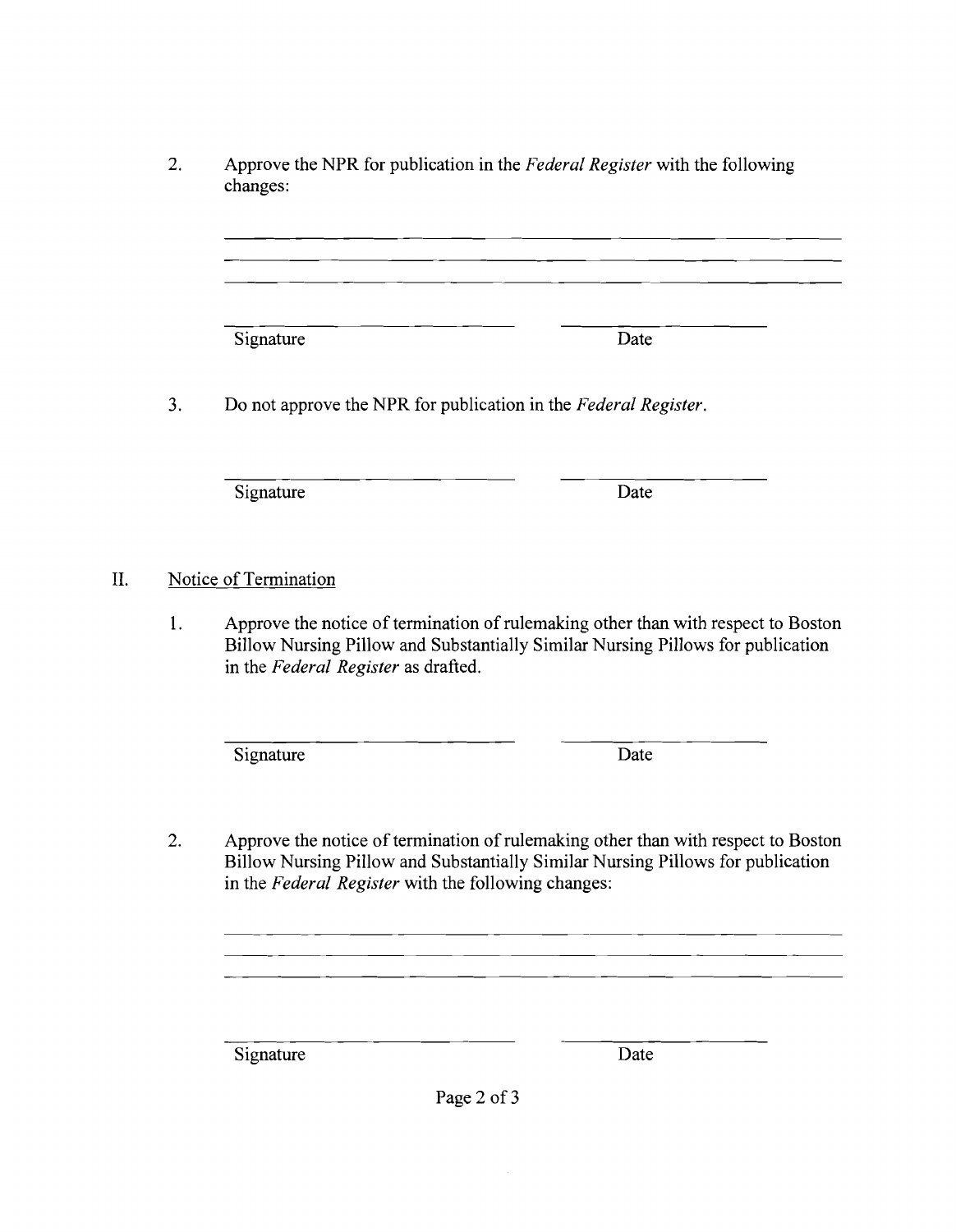2. Approve the NPR for publication in the *Federal Register* with the following changes:

Signature Date

3. Do not approve the NPR for publication in the *Federal Register.* 

Signature Date

II. Notice of Termination

1. Approve the notice of termination of rulemaking other than with respect to Boston Billow Nursing Pillow and Substantially Similar Nursing Pillows for publication in the *Federal Register* as drafted.

Signature Date

2. Approve the notice of termination of rulemaking other than with respect to Boston Billow Nursing Pillow and Substantially Similar Nursing Pillows for publication in the *Federal Register* with the following changes:

Signature Date

Page 2 of 3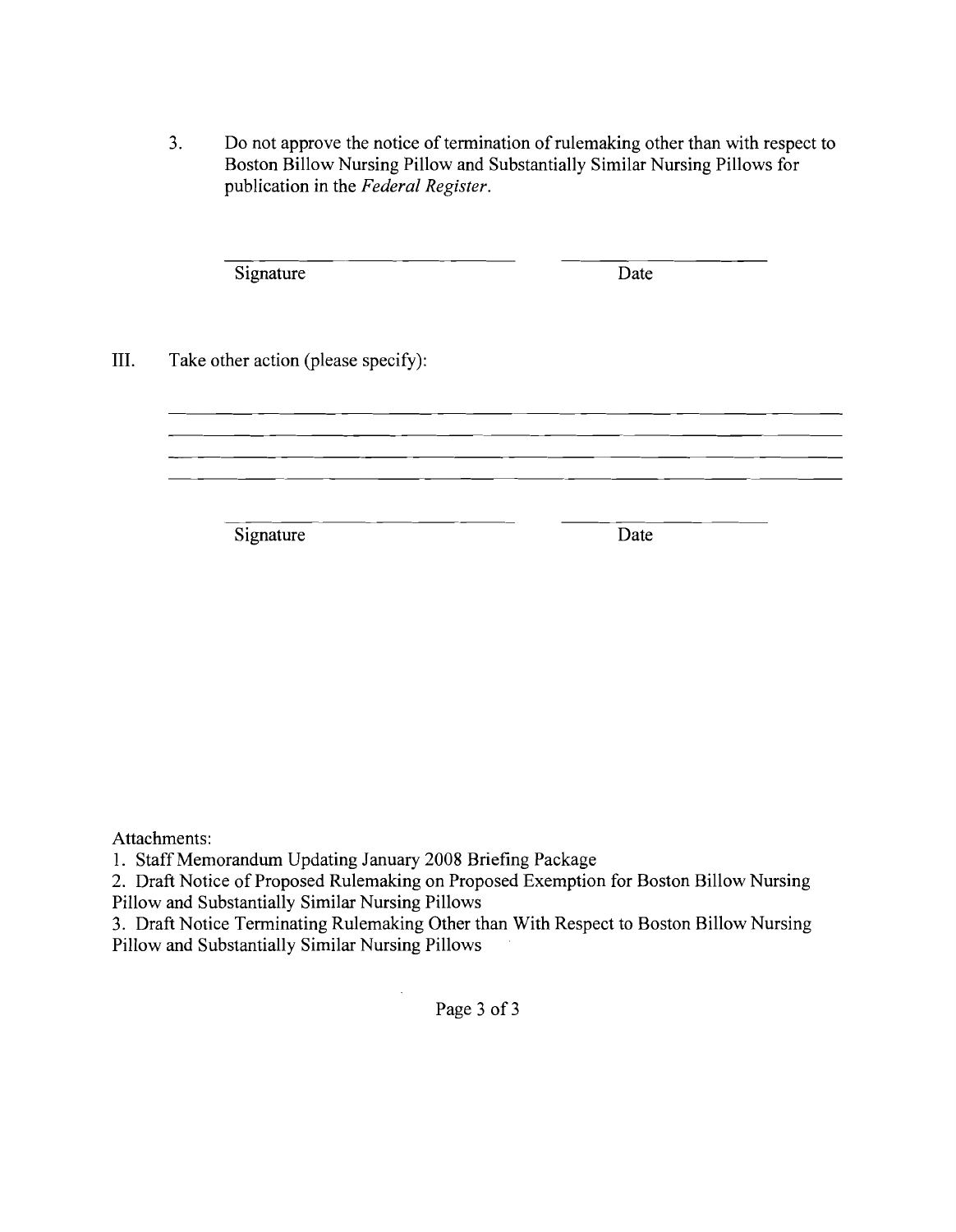3. Do not approve the notice of termination of rulemaking other than with respect to Boston Billow Nursing Pillow and Substantially Similar Nursing Pillows for publication in the *Federal Register.* 

|      | Signature                           | Date |  |
|------|-------------------------------------|------|--|
| III. | Take other action (please specify): |      |  |
|      |                                     |      |  |
|      | Signature                           | Date |  |

Attachments:

1. Staff Memorandum Updating January 2008 Briefing Package

2. Draft Notice of Proposed Rulemaking on Proposed Exemption for Boston Billow Nursing Pillow and Substantially Similar Nursing Pillows

3. Draft Notice Terminating Rulemaking Other than With Respect to Boston Billow Nursing Pillow and Substantially Similar Nursing Pillows

Page 3 of 3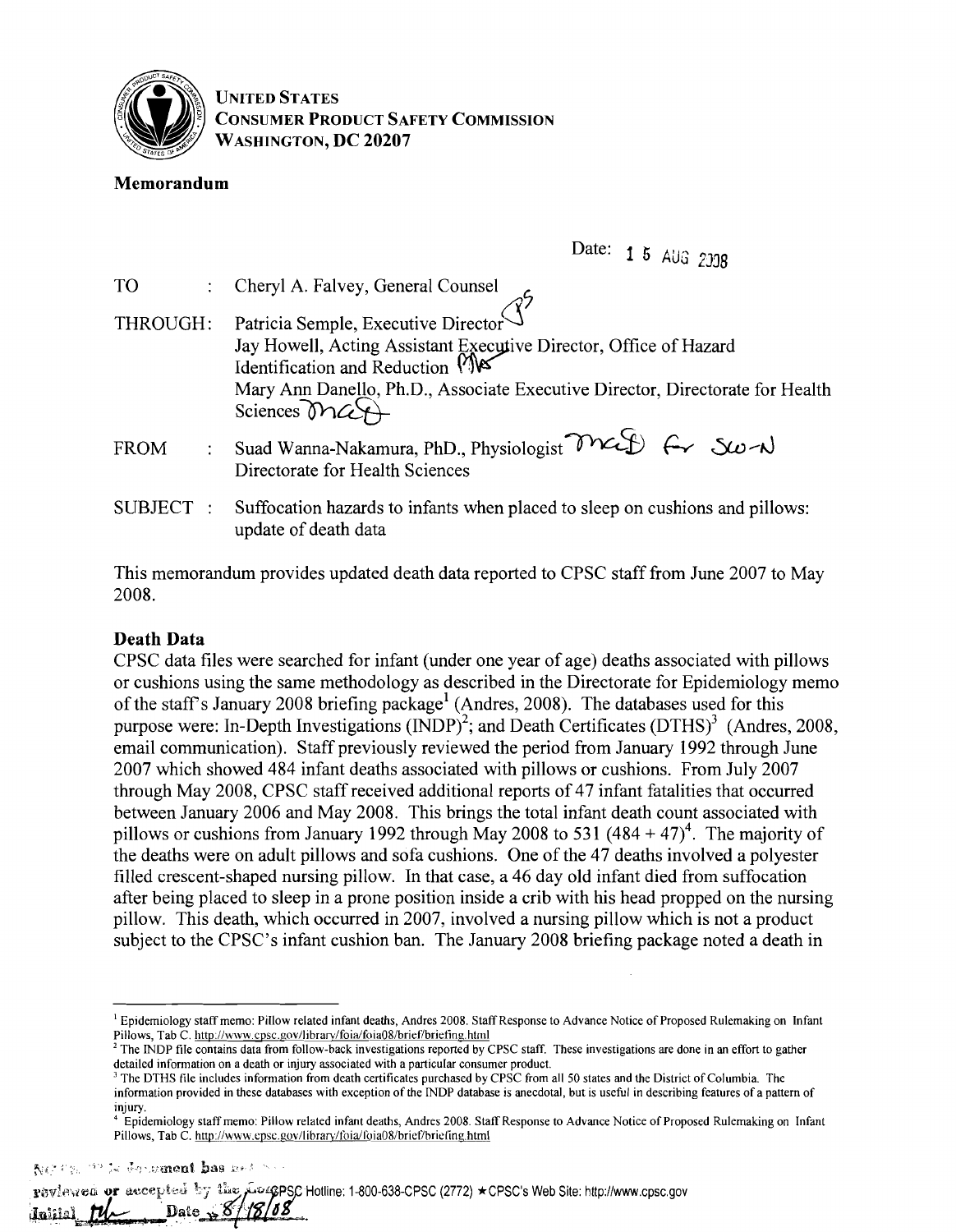

UNITED STATES CONSUMER PRODUCT SAFETY COMMISSION WASHINGTON, DC 20207

# Memorandum

Date: 1 5 AUG 2338

| T <sub>O</sub> | Cheryl A. Falvey, General Counsel                                                                                                                                                                                                                                             |
|----------------|-------------------------------------------------------------------------------------------------------------------------------------------------------------------------------------------------------------------------------------------------------------------------------|
| THROUGH:       | Patricia Semple, Executive Director $\widehat{S}^7$<br>Jay Howell, Acting Assistant Executive Director, Office of Hazard Identification and Reduction $\bigwedge^{\bullet}$<br>Mary Ann Danello, Ph.D., Associate Executive Director, Directorate for Health<br>Sciences Mart |
| <b>FROM</b>    | Suad Wanna-Nakamura, PhD., Physiologist MCS f- Sw-N<br>Directorate for Health Sciences                                                                                                                                                                                        |
| SUBJECT:       | Suffocation hazards to infants when placed to sleep on cushions and pillows:<br>update of death data                                                                                                                                                                          |

This memorandum provides updated death data reported to CPSC staff from June 2007 to May 2008.

# Death Data

CPSC data files were searched for infant (under one year of age) deaths associated with pillows or cushions using the same methodology as described in the Directorate for Epidemiology memo of the staff's January 2008 briefing package<sup>1</sup> (Andres, 2008). The databases used for this purpose were: In-Depth Investigations  $(INDP)^2$ ; and Death Certificates  $(DTHS)^3$  (Andres, 2008, email communication). Staff previously reviewed the period from January 1992 through June 2007 which showed 484 infant deaths associated with pillows or cushions. From July 2007 through May 2008, CPSC staff received additional reports of 47 infant fatalities that occurred between January 2006 and May 2008. This brings the total infant death count associated with pillows or cushions from January 1992 through May 2008 to 531  $(484 + 47)^4$ . The majority of the deaths were on adult pillows and sofa cushions. One of the 47 deaths involved a polyester filled crescent-shaped nursing pillow. In that case, a 46 day old infant died from suffocation after being placed to sleep in a prone position inside a crib with his head propped on the nursing pillow. This death, which occurred in 2007, involved a nursing pillow which is not a product subject to the CPSC's infant cushion ban. The January 2008 briefing package noted a death in

and ad impuritely of the

rewleyed or accepted by the process Hotline: 1-800-638-CPSC (2772) ★CPSC's Web Site: http://www.cpsc.gov و rewleyed Date  $\rightarrow$  8  $\mu$ لعثنته

<sup>&</sup>lt;sup>1</sup> Epidemiology staff memo: Pillow related infant deaths, Andres 2008. Staff Response to Advance Notice of Proposed Rulemaking on Infant Pillows, Tab C. http://www.cpsc.gov/library/foia/foia08/brief/briefing.html

<sup>&</sup>lt;sup>2</sup> The INDP file contains data from follow-back investigations reported by CPSC staff. These investigations are done in an effort to gather detailed infonnation on a death or injury associated with a particular consumer product.

 $3$  The DTHS file includes information from death certificates purchased by CPSC from all 50 states and the District of Columbia. The information provided in these databases with exception of the INDP database is anecdotal, but is useful in describing features of a pattern of injury

<sup>4</sup> Epidemiology staff memo: Pillow related infant deaths, Andres 2008. Staff Response to Advance Notice of Proposed Rulemaking on Infant Pillows, Tab C. http://www.cpsc.gov/library/foia/loia08/brief/brieling.html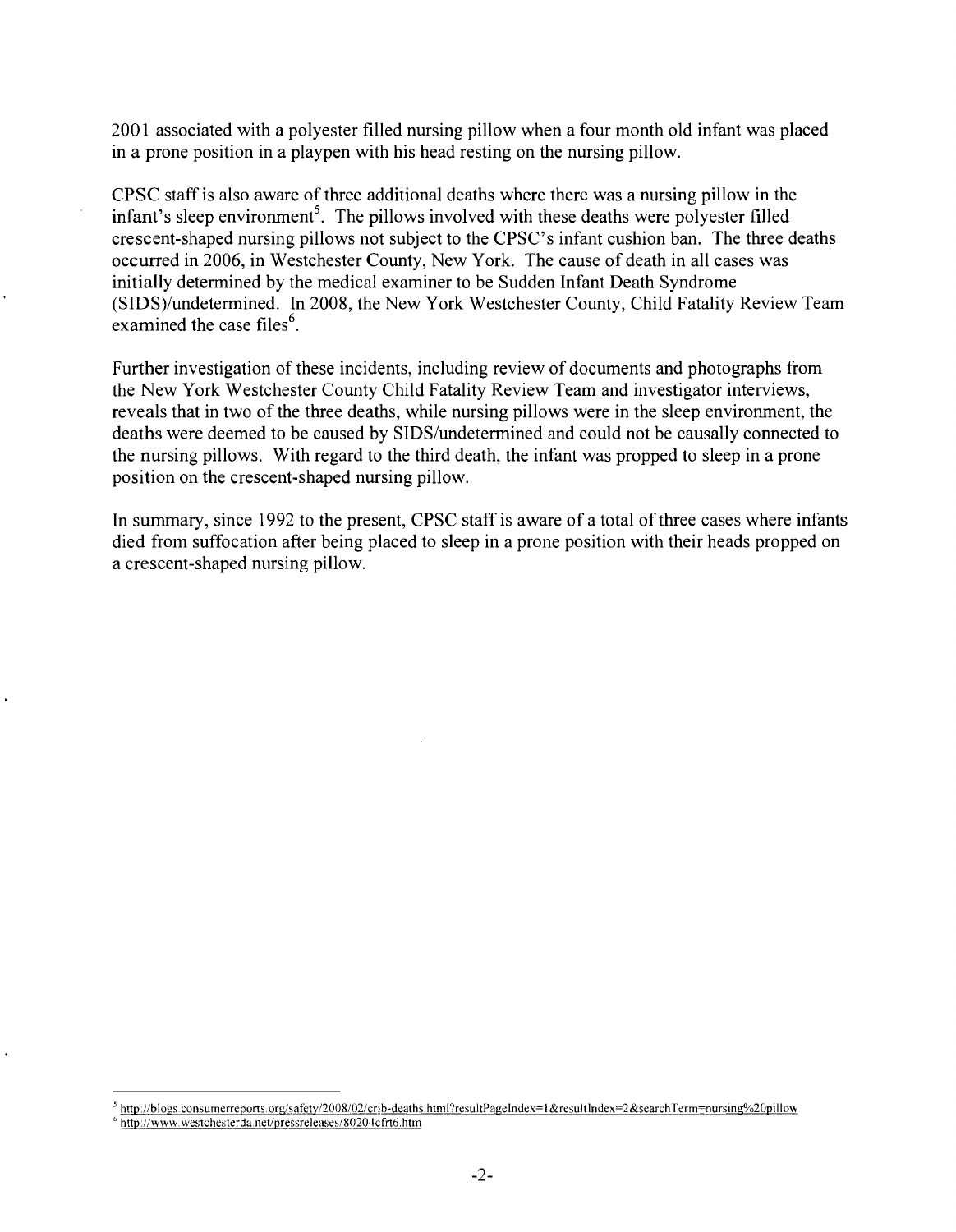2001 associated with a polyester filled nursing pillow when a four month old infant was placed in a prone position in a playpen with his head resting on the nursing pillow.

CPSC staff is also aware of three additional deaths where there was a nursing pillow in the infant's sleep environment<sup>5</sup>. The pillows involved with these deaths were polyester filled crescent-shaped nursing pillows not subject to the CPSC's infant cushion ban. The three deaths occurred in 2006, in Westchester County, New York. The cause of death in all cases was initially determined by the medical examiner to be Sudden Infant Death Syndrome (SIDS)/undetermined. In 2008, the New York Westchester County, Child Fatality Review Team examined the case files<sup>6</sup>.

Further investigation of these incidents, including review of documents and photographs from the New York Westchester County Child Fatality Review Team and investigator interviews, reveals that in two of the three deaths, while nursing pillows were in the sleep environment, the deaths were deemed to be caused by SIDS/undetermined and could not be causally connected to the nursing pillows. With regard to the third death, the infant was propped to sleep in a prone position on the crescent-shaped nursing pillow.

In summary, since 1992 to the present, CPSC staff is aware of a total of three cases where infants died from suffocation after being placed to sleep in a prone position with their heads propped on a crescent-shaped nursing pillow.

<sup>&</sup>lt;sup>5</sup> http://blogs.consumerreports.org/safety/2008/02/crib-deaths.html?resultPageIndex=1&resultIndex=2&searchTerm=nursing%20pillow

<sup>&</sup>lt;sup>6</sup> http://www.westchesterda.net/pressreleases/80204cfrt6.htm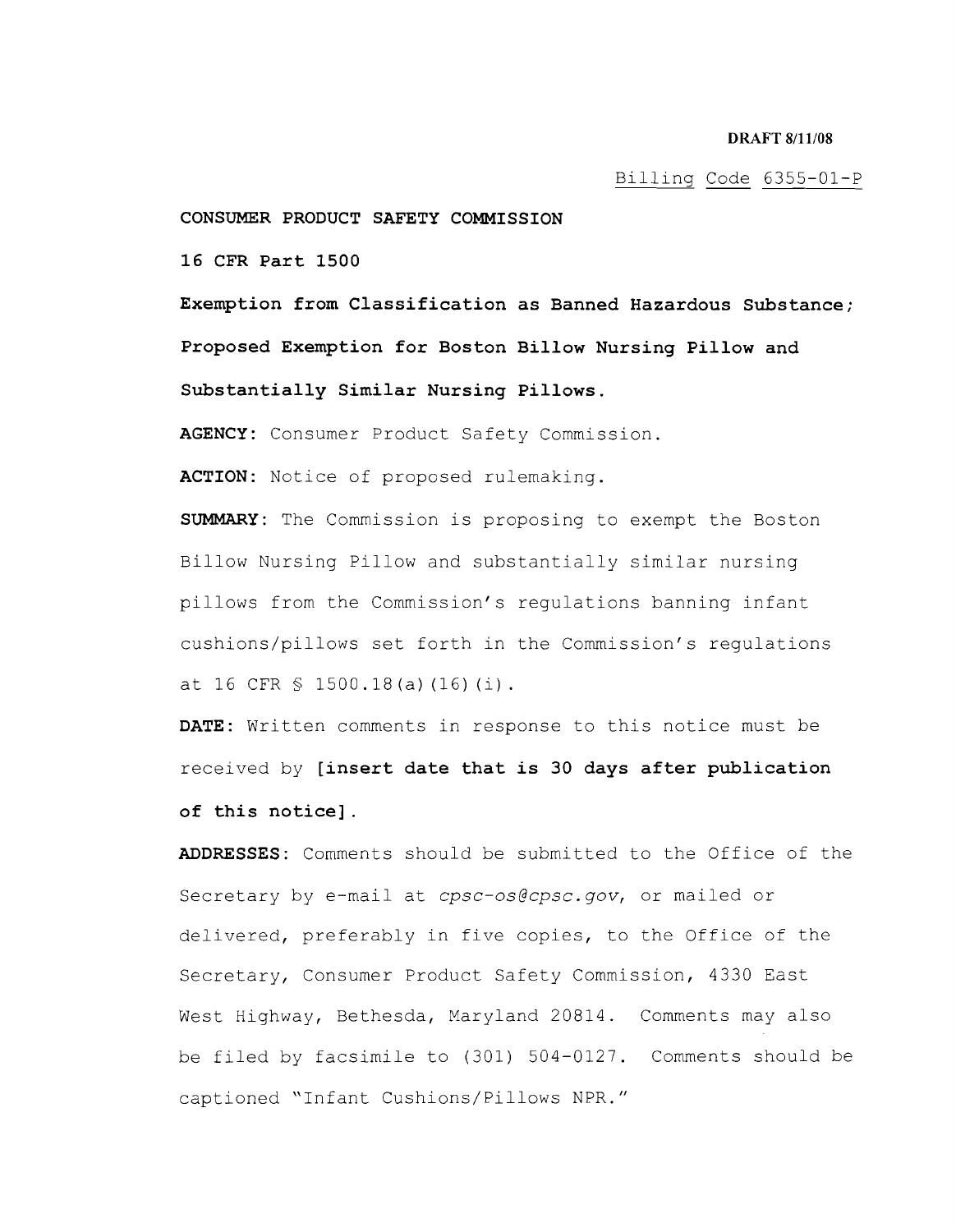### Billing Code 6355-01-P

**CONSUMER PRODUCT SAFETY COMMISSION** 

**16 CFR Part 1500** 

**Exemption from Classification as Banned Hazardous Substance; Proposed Exemption for Boston Billow Nursing Pillow and Substantially Similar Nursing Pillows.** 

**AGENCY:** Consumer Product Safety Commission.

**ACTION:** Notice of proposed rulemaking.

**SUMMARY:** The Commission is proposing to exempt the Boston Billow Nursing Pillow and substantially similar nursing pillows from the Commission's regulations banning infant cushions/pillows set forth in the Commission's regulations at 16 CFR  $$ 1500.18(a) (16) (i)$ .

**DATE:** Written comments in response to this notice must be received by **[insert date that is 30 days after publication of this notice] .** 

**ADDRESSES:** Comments should be submitted to the Office of the Secretary bye-mail at *cpsc-os@cpsc.gov,* or mailed or delivered, preferably in five copies, to the Office of the Secretary, Consumer Product Safety Commission, 4330 East West Highway, Bethesda, Maryland 20814. Comments may also be filed by facsimile to (301) 504-0127. Comments should be captioned "Infant Cushions/Pillows NPR."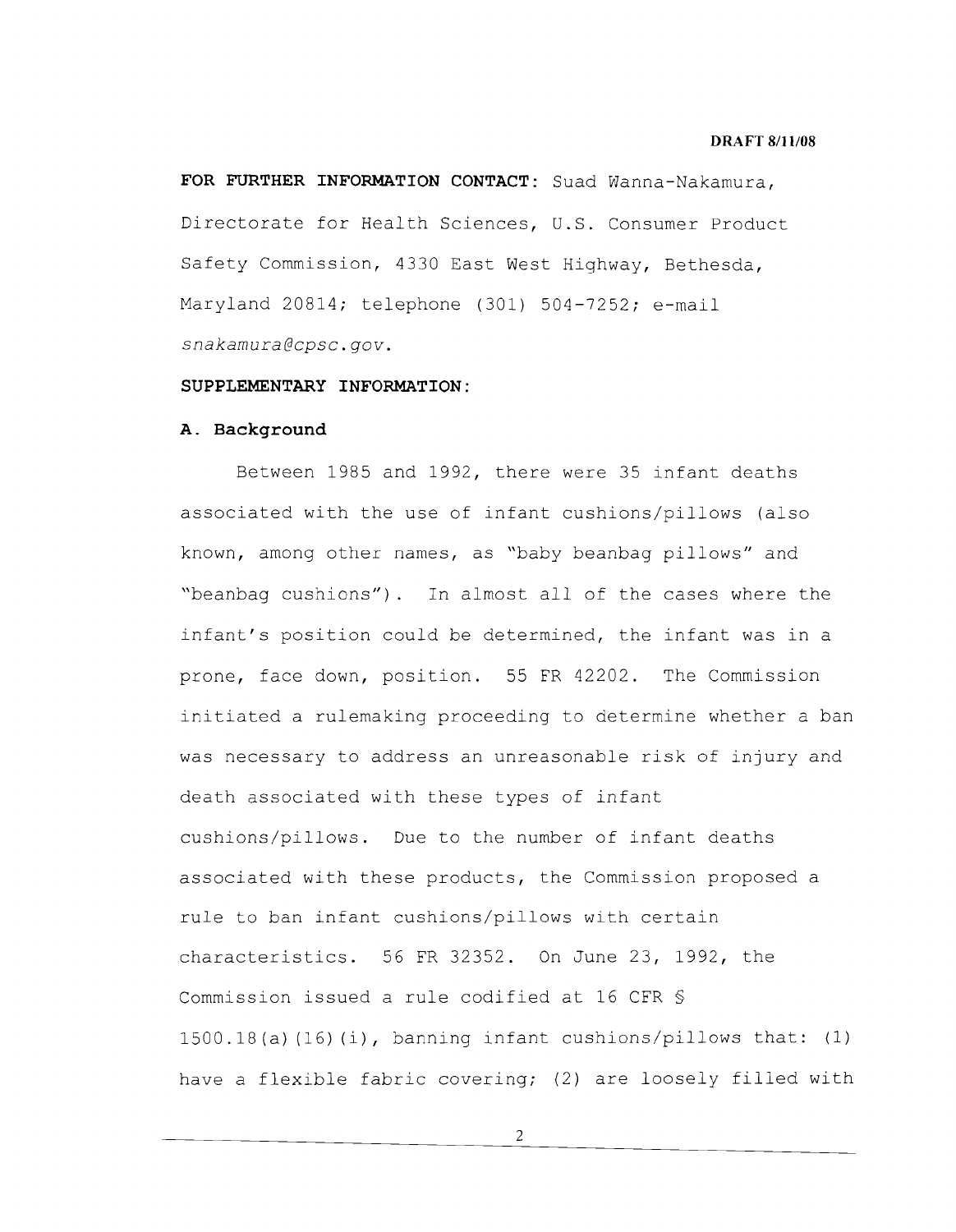### **DRAFT 8/11108**

**FOR FURTHER INFORMATION CONTACT:** Suad Wanna-Nakamura, Directorate for Health Sciences, **U.S.** Consumer Product Safety Commission, 4330 East West Highway, Bethesda, Maryland 20814; telephone (301) 504-7252; e-mail *snakamura@cpsc.gov.* 

### **SUPPLEMENTARY INFORMATION:**

### **A. Background**

Between 1985 and 1992, there were 35 infant deaths associated with the use of infant cushions/pillows (also known, among other names, as "baby beanbag pillows" and "beanbag cushions") . In almost all of the cases where the infant's position could be determined, the infant was in a prone, face down, position. 55 FR 42202. The Commission initiated a rulemaking proceeding to determine whether a ban was necessary to address an unreasonable risk of injury and death associated with these types of infant cushions/pillows. Due to the number of infant deaths associated with these products, the Commission proposed a rule to ban infant cushions/pillows with certain characteristics. 56 FR 32352. On June 23, 1992, the Commission issued a rule codified at 16 CFR § 1500.18(a) (16) (i), banning infant cushions/pillows that: (1) have a flexible fabric covering; (2) are loosely filled with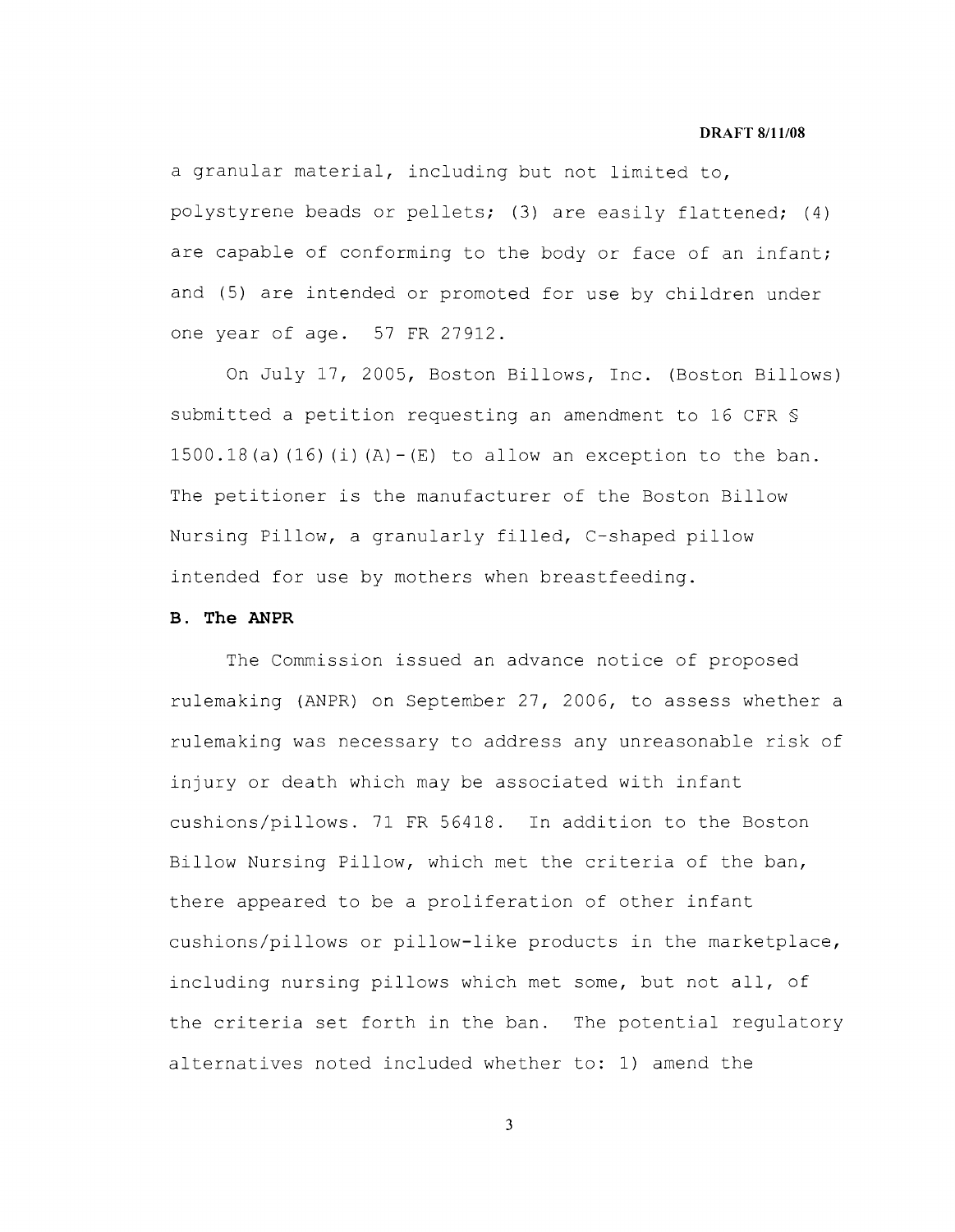a granular material, including but not limited to, polystyrene beads or pellets; (3) are easily flattened; (4) are capable of conforming to the body or face of an infant; and (5) are intended or promoted for use by children under one year of age. 57 FR 27912.

On July 17, 2005, Boston Billows, Inc. (Boston Billows) submitted a petition requesting an amendment to 16 CFR § 1500.18(a)  $(16)$  (i)  $(A) - (E)$  to allow an exception to the ban. The petitioner is the manufacturer of the Boston Billow Nursing Pillow, a granularly filled, C-shaped pillow intended for use by mothers when breastfeeding.

### **B. The ANPR**

The Commission issued an advance notice of proposed rulemaking (ANPR) on September 27, 2006, to assess whether a rulemaking was necessary to address any unreasonable risk of injury or death which may be associated with infant cushions/pillows. 71 FR 56418. In addition to the Boston Billow Nursing Pillow, which met the criteria of the ban, there appeared to be a proliferation of other infant cushions/pillows or pillow-like products in the marketplace, including nursing pillows which met some, but not all, of the criteria set forth in the ban. The potential regulatory alternatives noted included whether to: 1) amend the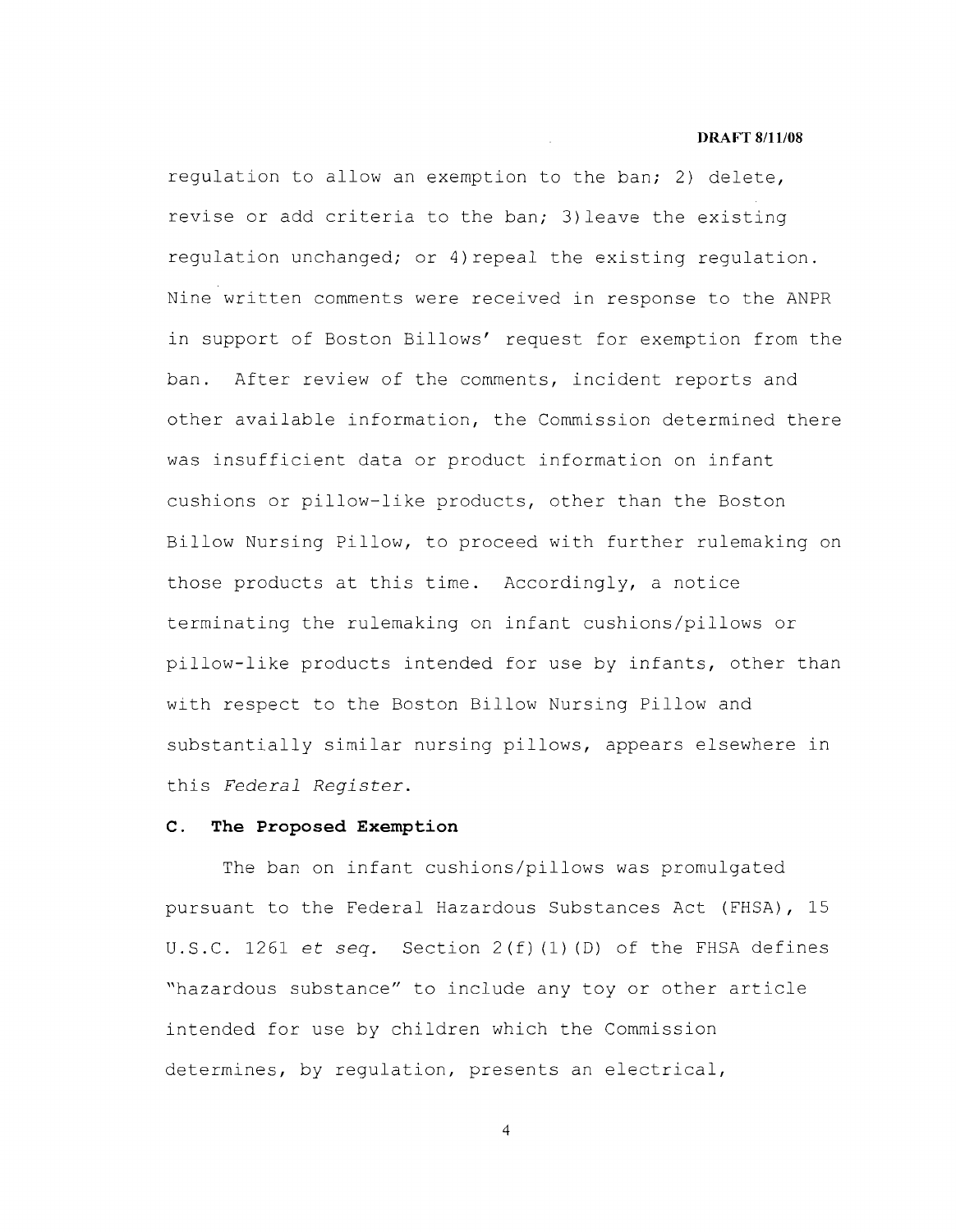regulation to allow an exemption to the ban; 2) delete, revise or add criteria to the ban; 3) leave the existing regulation unchanged; or 4)repeal the existing regulation. Nine written comments were received in response to the ANPR in support of Boston Billows' request for exemption from the ban. After review of the comments, incident reports and other available information, the Commission determined there was insufficient data or product information on infant cushions or pillow-like products, other than the Boston Billow Nursing Pillow, to proceed with further rulemaking on those products at this time. Accordingly, a notice terminating the rulemaking on infant cushions/pillows or pillow-like products intended for use by infants, other than with respect to the Boston Billow Nursing Pillow and substantially similar nursing pillows, appears elsewhere in this *Federal Register.* 

### **C. The Proposed Exemption**

The ban on infant cushions/pillows was promulgated pursuant to the Federal Hazardous Substances Act (FHSA), 15 **U.S.C.** 1261 et *seq.* Section 2(f) (1) (D) of the FHSA defines "hazardous substance" to include any toy or other article intended for use by children which the Commission determines, by regulation, presents an electrical,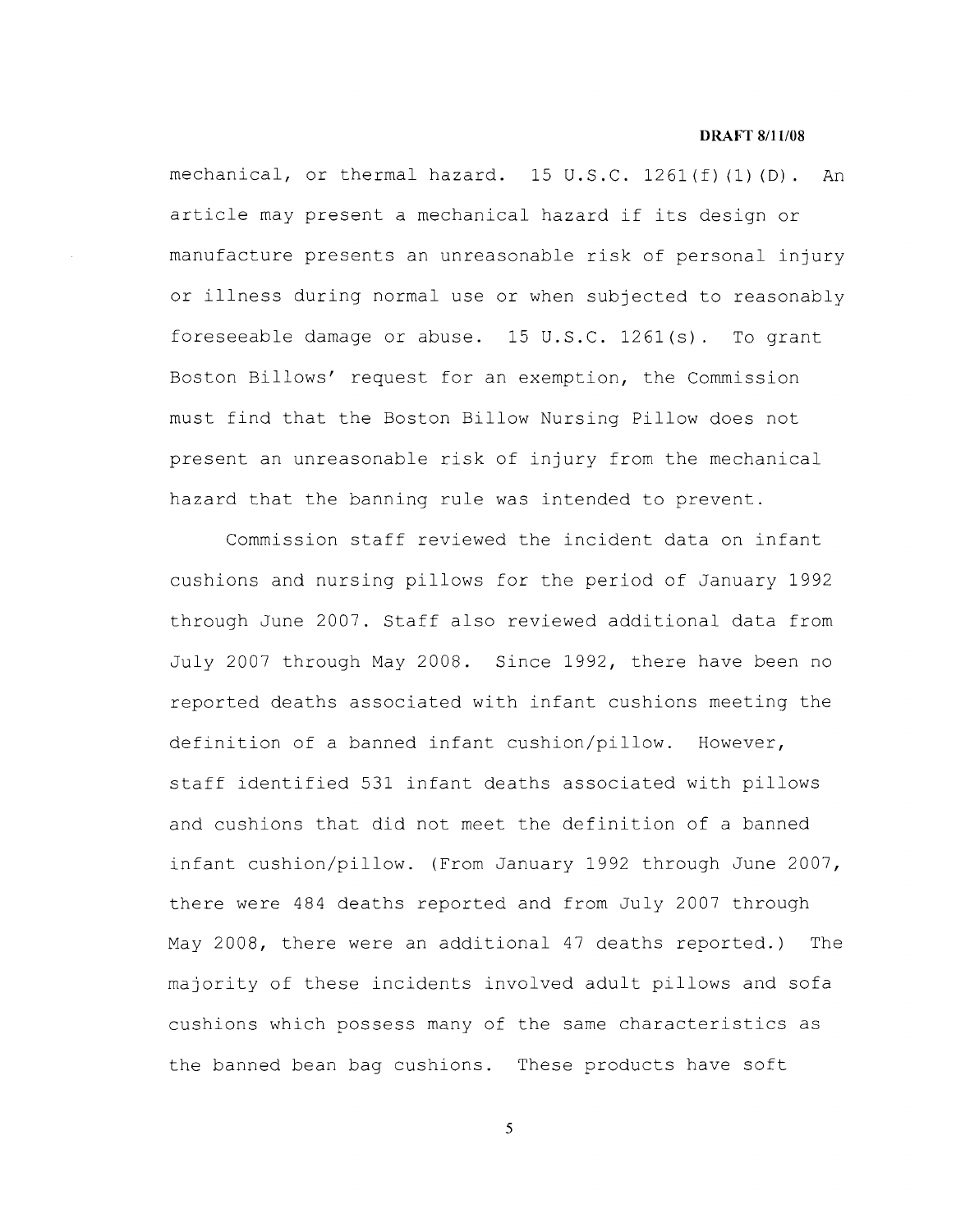#### **DRAFT 8/ll/08**

mechanical, or thermal hazard.  $15 \text{ U.S.C. } 1261 \text{ (f) (I) (D)}$ . An article may present a mechanical hazard if its design or manufacture presents an unreasonable risk of personal injury or illness during normal use or when subjected to reasonably foreseeable damage or abuse. 15 **U.S.C.** 1261(s). To grant Boston Billows' request for an exemption, the Commission must find that the Boston Billow Nursing Pillow does not present an unreasonable risk of injury from the mechanical hazard that the banning rule was intended to prevent.

Commission staff reviewed the incident data on infant cushions and nursing pillows for the period of January 1992 through June 2007. Staff also reviewed additional data from July 2007 through May 2008. Since 1992, there have been no reported deaths associated with infant cushions meeting the definition of a banned infant cushion/pillow. However, staff identified 531 infant deaths associated with pillows and cushions that did not meet the definition of a banned infant cushion/pillow. (From January 1992 through June 2007, there were 484 deaths reported and from July 2007 through May 2008, there were an additional 47 deaths reported.) The majority of these incidents involved adult pillows and sofa cushions which possess many of the same characteristics as the banned bean bag cushions. These products have soft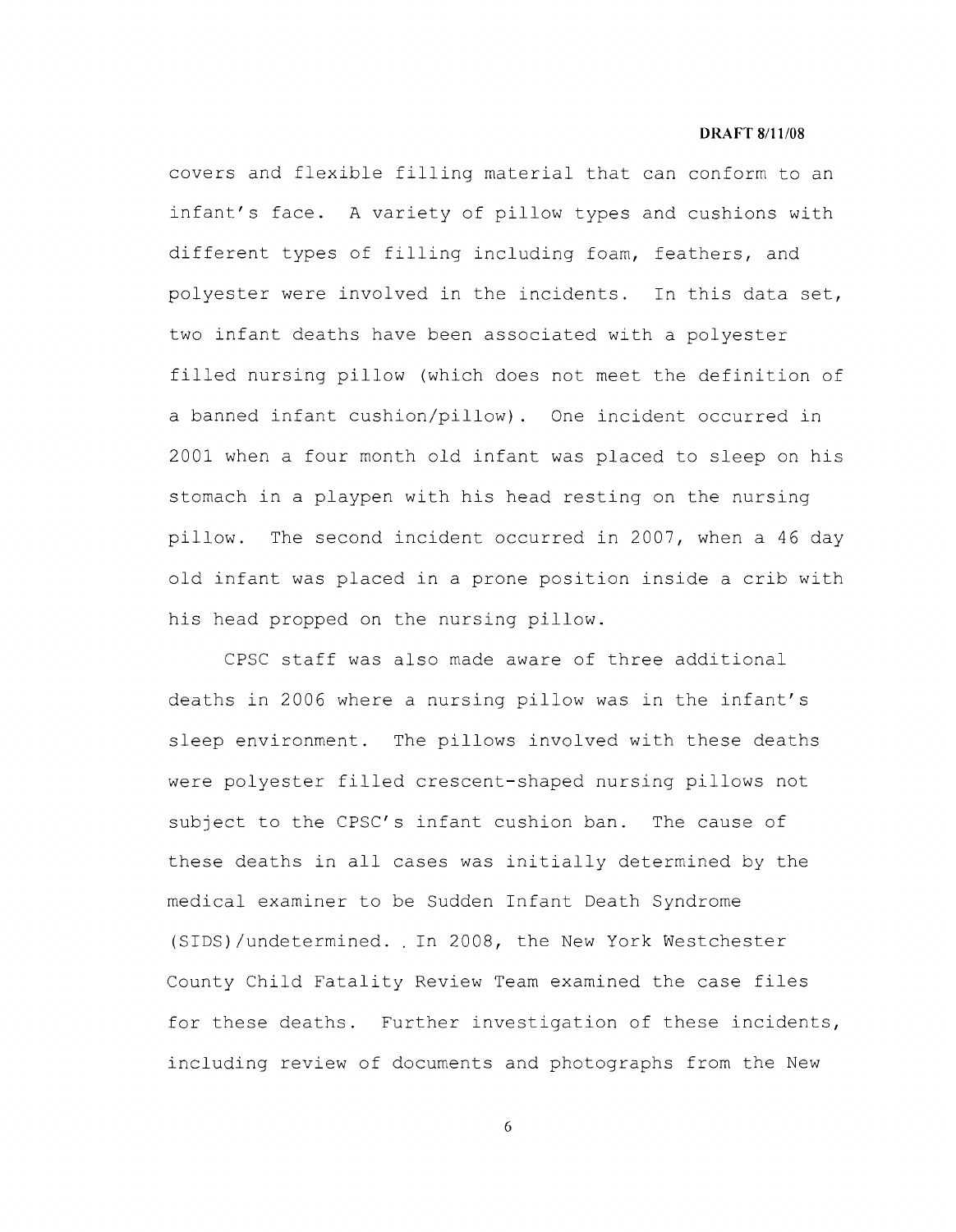covers and flexible filling material that can conform to an infant's face. A variety of pillow types and cushions with different types of filling including foam, feathers, and polyester were involved in the incidents. In this data set, two infant deaths have been associated with a polyester filled nursing pillow (which does not meet the definition of a banned infant cushion/pillow). One incident occurred in 2001 when a four month old infant was placed to sleep on his stomach in a playpen with his head resting on the nursing pillow. The second incident occurred in 2007, when a 46 day old infant was placed in a prone position inside a crib with his head propped on the nursing pillow.

CPSC staff was also made aware of three additional deaths in 2006 where a nursing pillow was in the infant's sleep environment. The pillows involved with these deaths were polyester filled crescent-shaped nursing pillows not subject to the CPSC's infant cushion ban. The cause of these deaths in all cases was initially determined by the medical examiner to be Sudden Infant Death Syndrome (SIDS)/undetermined .. In 2008, the New York Westchester County Child Fatality Review Team examined the case files for these deaths. Further investigation of these incidents, including review of documents and photographs from the New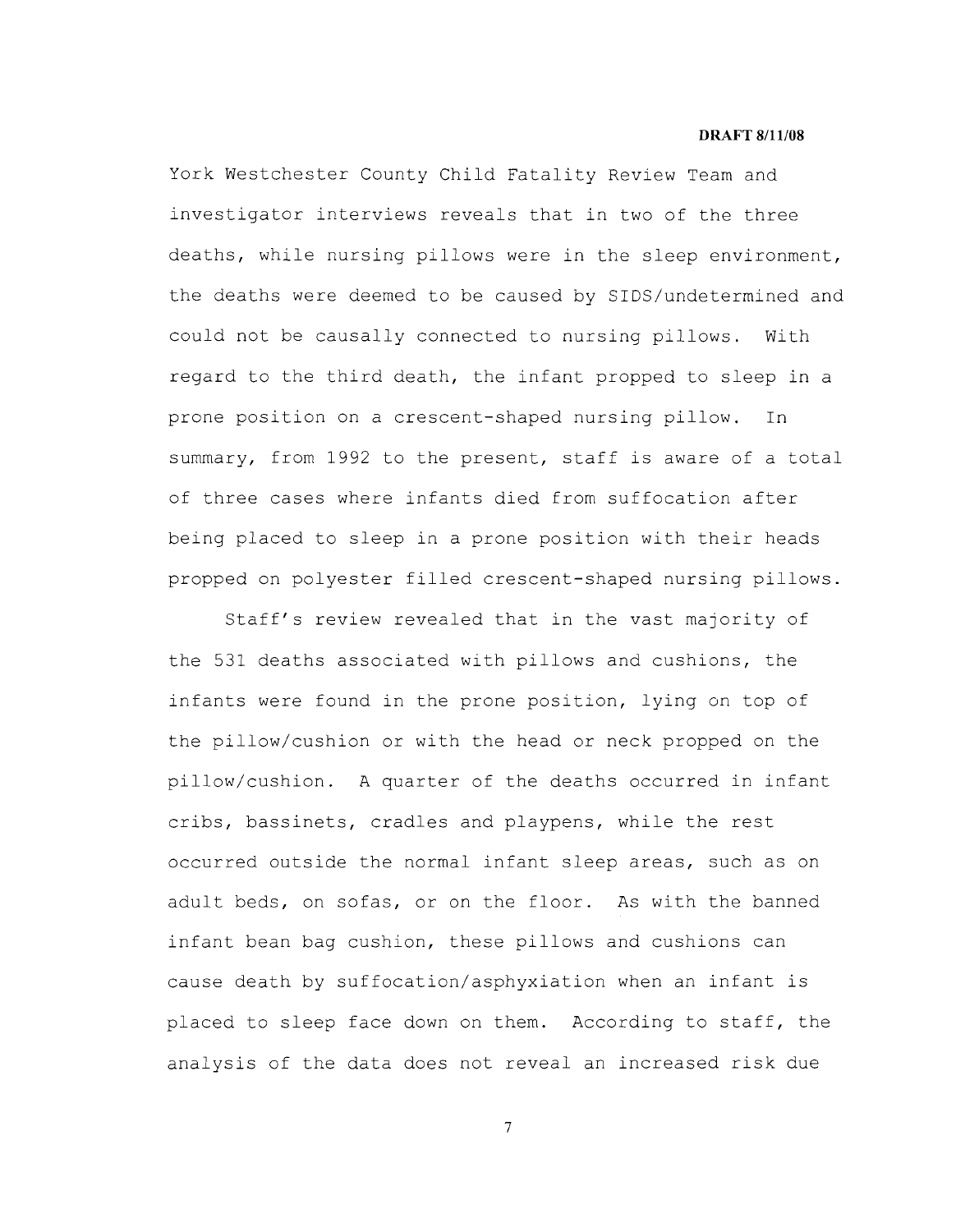York Westchester County Child Fatality Review Team and investigator interviews reveals that in two of the three deaths, while nursing pillows were in the sleep environment, the deaths were deemed to be caused by SIDS/undetermined and could not be causally connected to nursing pillows. With regard to the third death, the infant propped to sleep in a prone position on a crescent-shaped nursing pillow. In summary, from 1992 to the present, staff is aware of a total of three cases where infants died from suffocation after being placed to sleep in a prone position with their heads propped on polyester filled crescent-shaped nursing pillows.

Staff's review revealed that in the vast majority of the 531 deaths associated with pillows and cushions, the infants were found in the prone position, lying on top of the pillow/cushion or with the head or neck propped on the pillow/cushion. A quarter of the deaths occurred in infant cribs, bassinets, cradles and playpens, while the rest occurred outside the normal infant sleep areas, such as on adult beds, on sofas, or on the floor. As with the banned infant bean bag cushion, these pillows and cushions can cause death by suffocation/asphyxiation when an infant is placed to sleep face down on them. According to staff, the analysis of the data does not reveal an increased risk due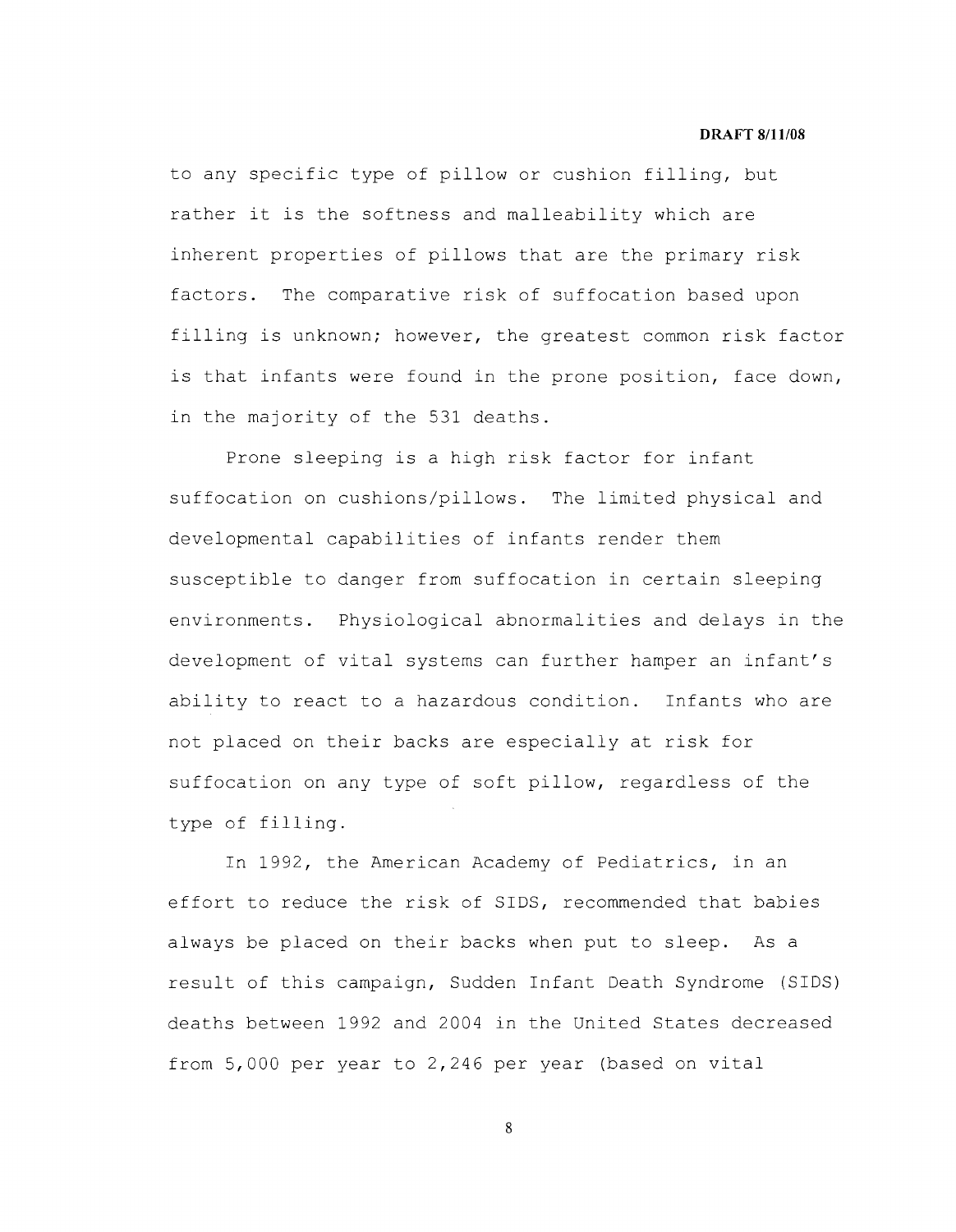to any specific type of pillow or cushion filling, but rather it is the softness and malleability which are inherent properties of pillows that are the primary risk factors. The comparative risk of suffocation based upon filling is unknown; however, the greatest common risk factor is that infants were found in the prone position, face down, in the majority of the 531 deaths.

Prone sleeping is a high risk factor for infant suffocation on cushions/pillows. The limited physical and developmental capabilities of infants render them susceptible to danger from suffocation in certain sleeping environments. Physiological abnormalities and delays in the development of vital systems can further hamper an infant's ability to react to a hazardous condition. Infants who are not placed on their backs are especially at risk for suffocation on any type of soft pillow, regardless of the type of filling.

In 1992, the American Academy of Pediatrics, in an effort to reduce the risk of SIDS, recommended that babies always be placed on their backs when put to sleep. As a result of this campaign, Sudden Infant Death Syndrome (SIDS) deaths between 1992 and 2004 in the United States decreased from 5,000 per year to 2,246 per year (based on vital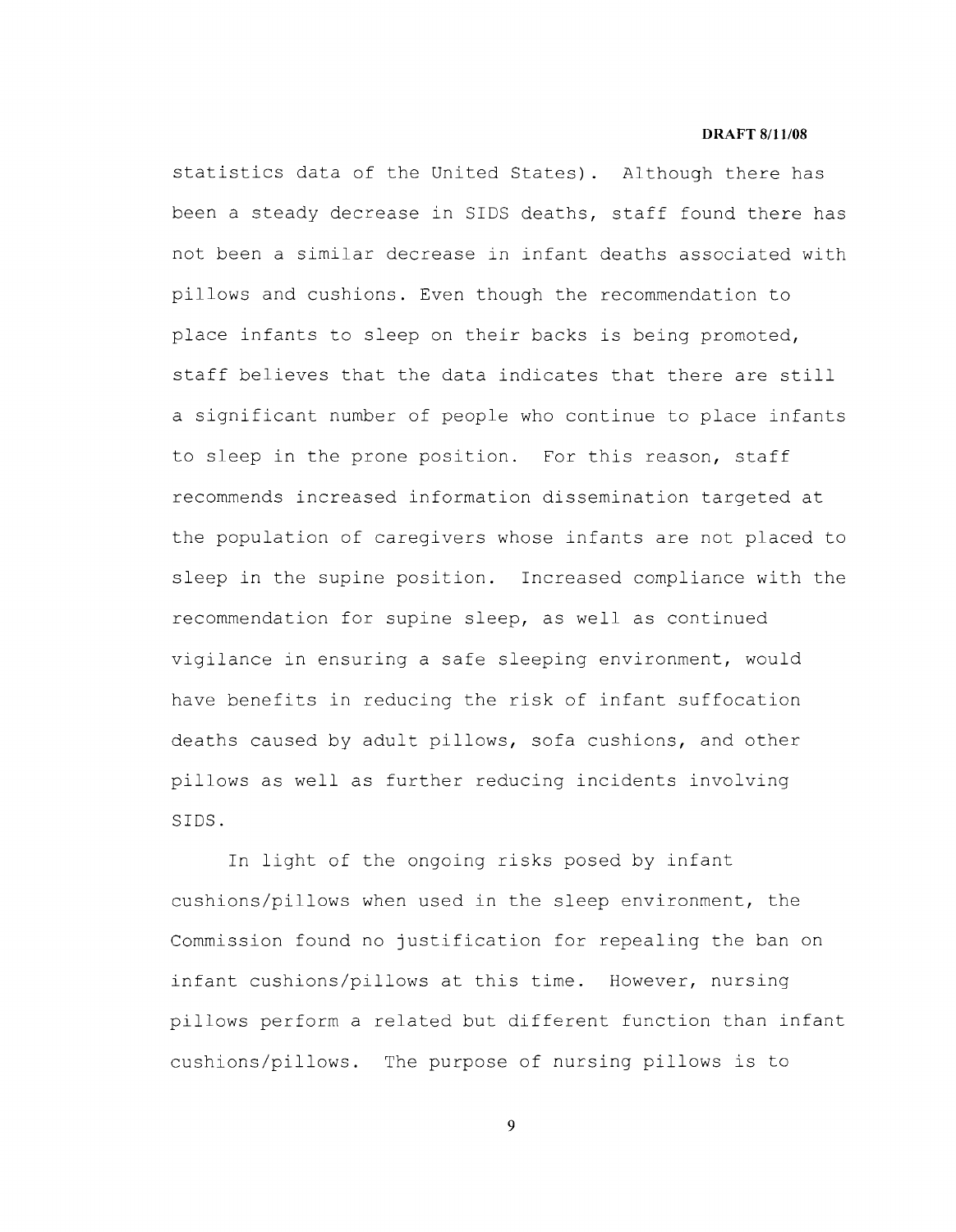statistics data of the United States). Although there has been a steady decrease in SIDS deaths, staff found there has not been a similar decrease in infant deaths associated with pillows and cushions. Even though the recommendation to place infants to sleep on their backs is being promoted, staff believes that the data indicates that there are still a significant number of people who continue to place infants to sleep in the prone position. For this reason, staff recommends increased information dissemination targeted at the population of caregivers whose infants are not placed to sleep in the supine position. Increased compliance with the recommendation for supine sleep, as well as continued vigilance in ensuring a safe sleeping environment, would have benefits in reducing the risk of infant suffocation deaths caused by adult pillows, sofa cushions, and other pillows as well as further reducing incidents involving SIDS.

In light of the ongoing risks posed by infant cushions/pillows when used in the sleep environment, the Commission found no justification for repealing the ban on infant cushions/pillows at this time. However, nursing pillows perform a related but different function than infant cushions/pillows. The purpose of nursing pillows is to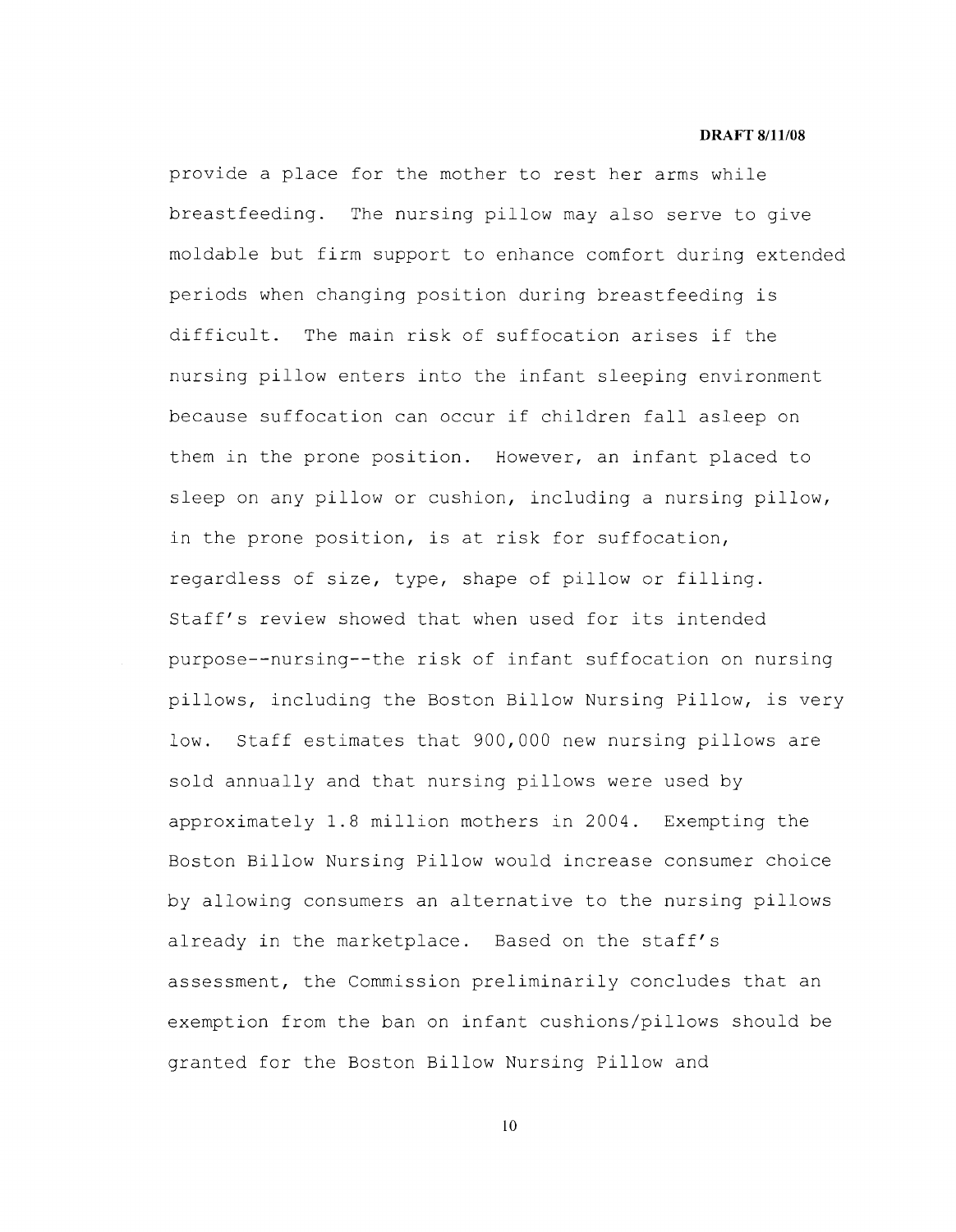provide a place for the mother to rest her arms while breastfeeding. The nursing pillow may also serve to give moldable but firm support to enhance comfort during extended periods when changing position during breastfeeding is difficult. The main risk of suffocation arises if the nursing pillow enters into the infant sleeping environment because suffocation can occur if children fall asleep on them in the prone position. However, an infant placed to sleep on any pillow or cushion, including a nursing pillow, in the prone position, is at risk for suffocation, regardless of size, type, shape of pillow or filling. Staff's review showed that when used for its intended purpose--nursing--the risk of infant suffocation on nursing pillows, including the Boston Billow Nursing Pillow, is very low. Staff estimates that 900,000 new nursing pillows are sold annually and that nursing pillows were used by approximately 1.8 million mothers in 2004. Exempting the Boston Billow Nursing Pillow would increase consumer choice by allowing consumers an alternative to the nursing pillows already in the marketplace. Based on the staff's assessment, the Commission preliminarily concludes that an exemption from the ban on infant cushions/pillows should be granted for the Boston Billow Nursing Pillow and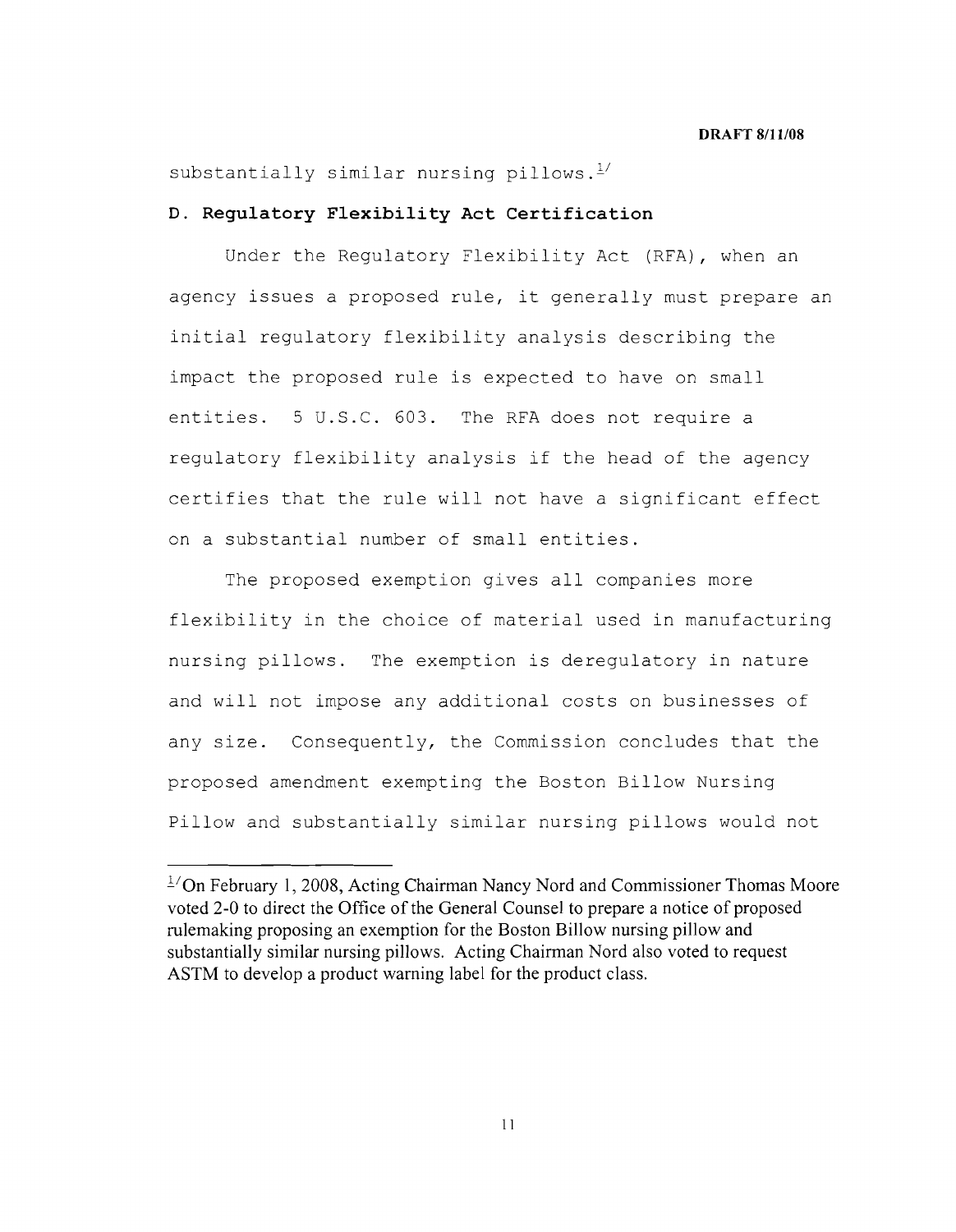# substantially similar nursing pillows. $1/$

## **D. Regulatory Flexibility Act Certification**

Under the Regulatory Flexibility Act (RFA), when an agency issues a proposed rule, it generally must prepare an initial regulatory flexibility analysis describing the impact the proposed rule is expected to have on small entities. 5 U.S.C. 603. The RFA does not require a regulatory flexibility analysis if the head of the agency certifies that the rule will not have a significant effect on a substantial number of small entities.

The proposed exemption gives all companies more flexibility in the choice of material used in manufacturing nursing pillows. The exemption is deregulatory in nature and will not impose any additional costs on businesses of any size. Consequently, the Commission concludes that the proposed amendment exempting the Boston Billow Nursing Pillow and substantially similar nursing pillows would not

 $1/2$ On February 1, 2008, Acting Chairman Nancy Nord and Commissioner Thomas Moore voted 2-0 to direct the Office of the General Counsel to prepare a notice of proposed rulemaking proposing an exemption for the Boston Billow nursing pillow and substantially similar nursing pillows. Acting Chairman Nord also voted to request ASTM to develop a product warning label for the product class.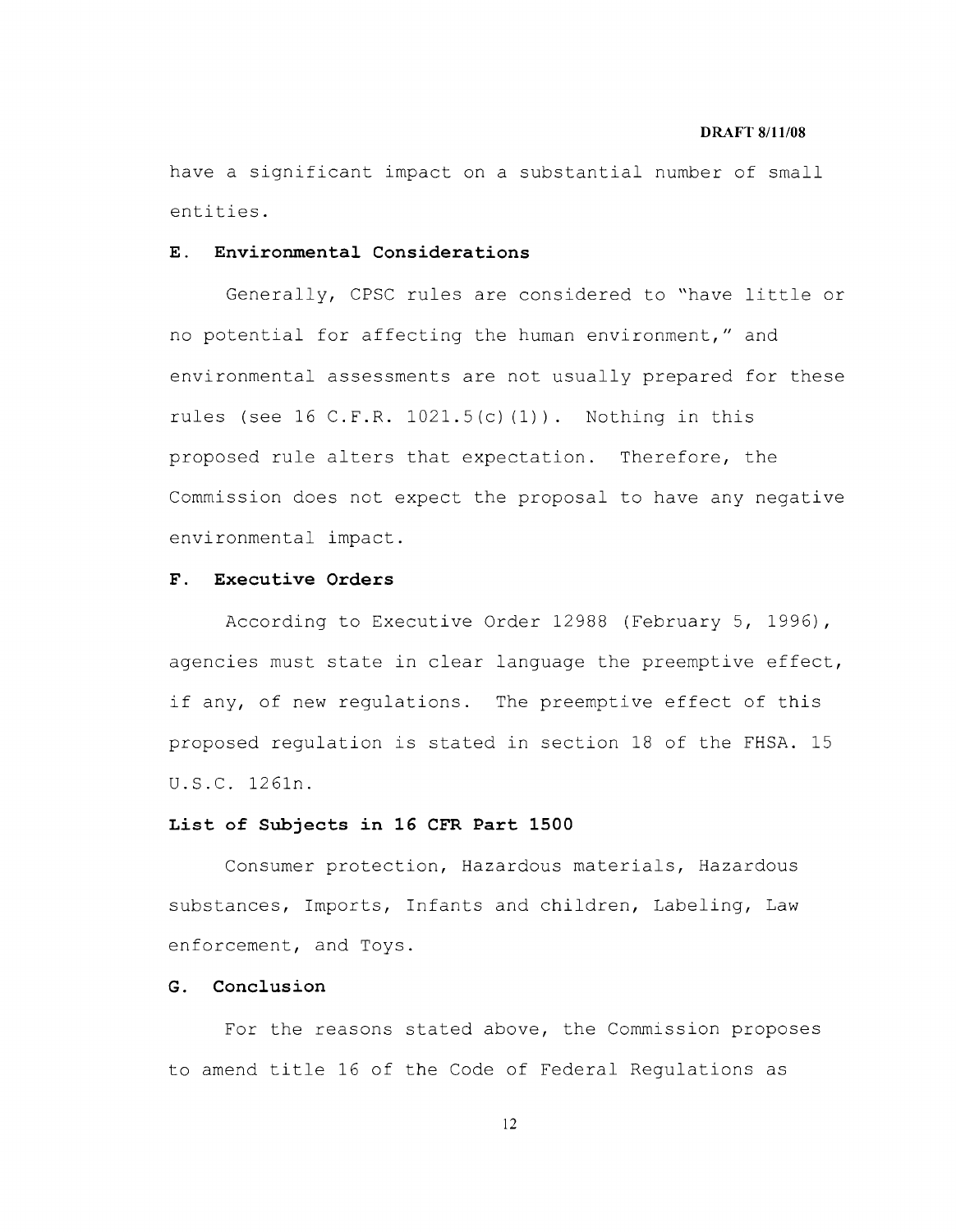have a significant impact on a substantial number of small entities.

# **E. Environmental Considerations**

Generally, CPSC rules are considered to "have little or no potential for affecting the human environment," and environmental assessments are not usually prepared for these rules (see 16 **C.F.R.** 1021.5(c) (l)). Nothing in this proposed rule alters that expectation. Therefore, the Commission does not expect the proposal to have any negative environmental impact.

## **F. Executive Orders**

According to Executive Order 12988 (February 5, 1996), agencies must state in clear language the preemptive effect, if any, of new regulations. The preemptive effect of this proposed regulation is stated in section 18 of the FHSA. 15 U.S.C. 1261n.

### **List of Subjects in 16 CFR Part 1500**

Consumer protection, Hazardous materials, Hazardous substances, Imports, Infants and children, Labeling, Law enforcement, and Toys.

# **G. Conclusion**

For the reasons stated above, the Commission proposes to amend title 16 of the Code of Federal Regulations as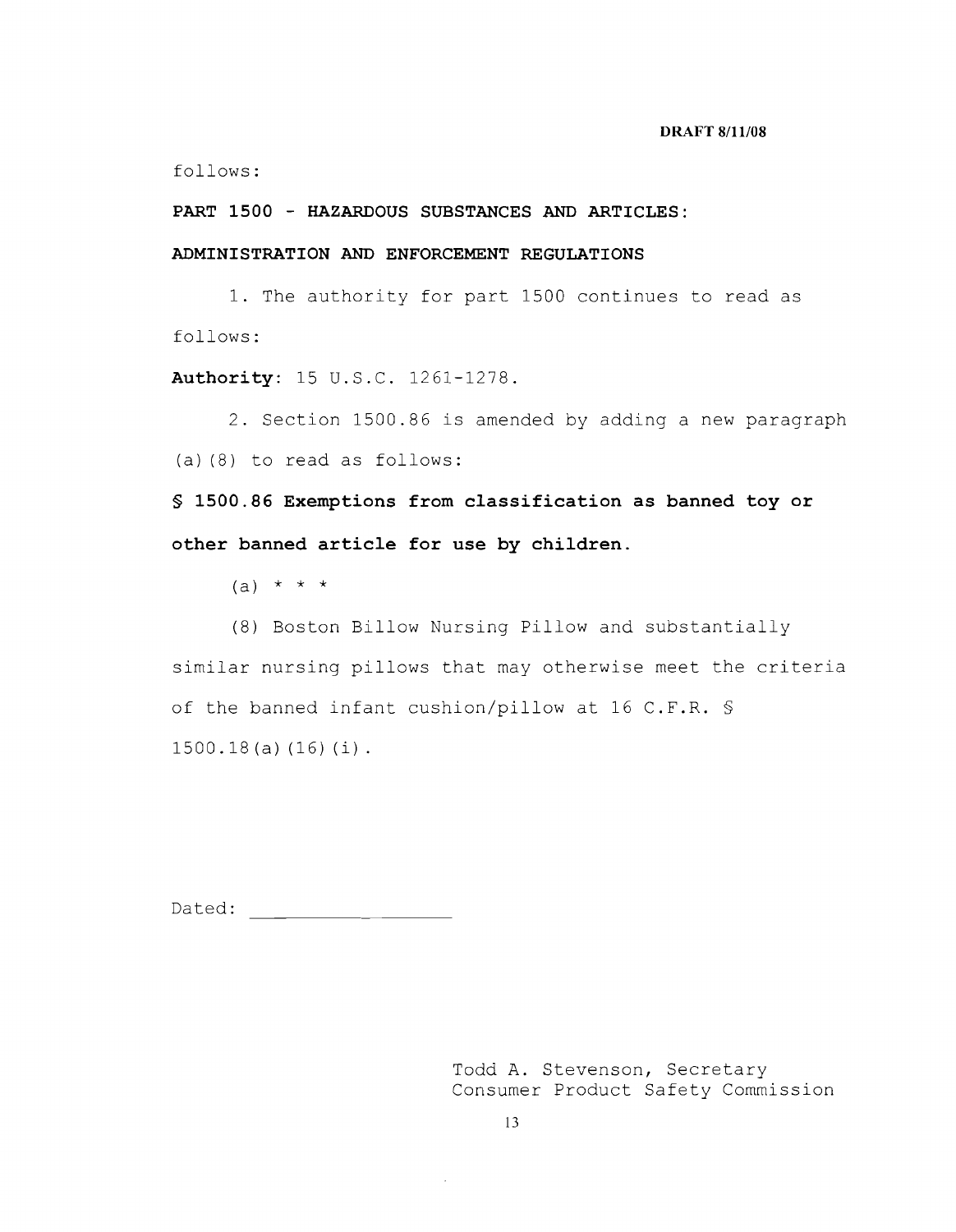follows:

**PART 1500 - HAZARDOUS SUBSTANCES AND ARTICLES:** 

# **ADMINISTRATION AND ENFORCEMENT REGULATIONS**

1. The authority for part 1500 continues to read as follows:

**Authority:** 15 U.S.C. 1261-1278.

2. Section 1500.86 is amended by adding a new paragraph (a) (8) to read as follows:

**§ 1500.86 Exemptions from classification as banned toy or other banned article for use by children.** 

(a)  $* * * *$ 

(8) Boston Billow Nursing Pillow and substantially similar nursing pillows that may otherwise meet the criteria of the banned infant cushion/pillow at 16 C.F.R. § 1500.18 (a) (16) (i).

Dated: National Contract of the Contract of the Contract of the Contract of the Contract of the Contract of the Contract of the Contract of the Contract of the Contract of the Contract of the Contract of the Contract of th

Todd A. Stevenson, Secretary Consumer Product Safety Commission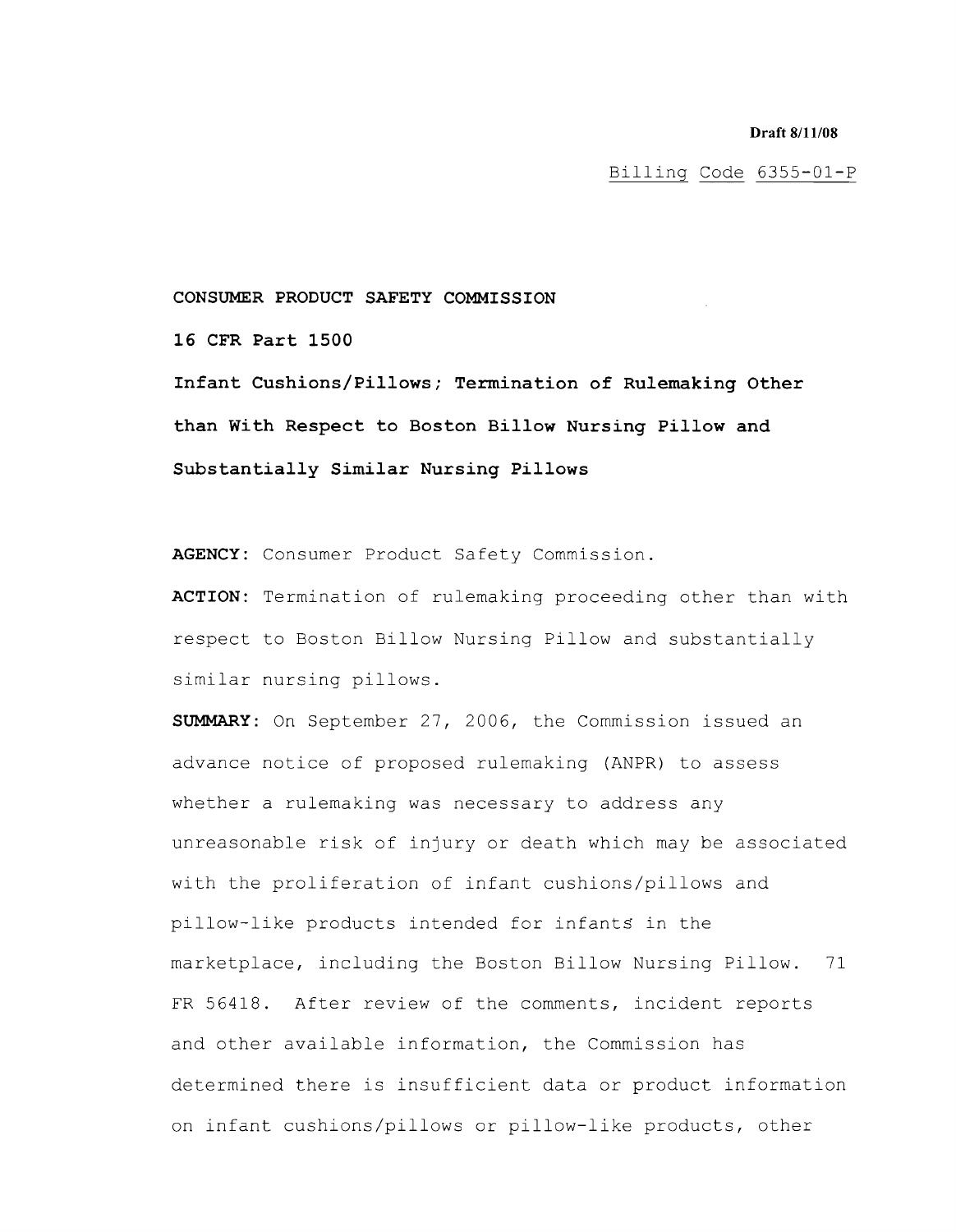Billing Code 6355-01-P

### **CONSUMER PRODUCT SAFETY COMMISSION**

**16 CFR Part 1500** 

**Infant Cushions/Pillows; Termination of Rulemaking Other than With Respect to Boston Billow Nursing Pillow and Substantially Similar Nursing Pillows** 

**AGENCY:** Consumer Product Safety Commission.

**ACTION:** Termination of rulemaking proceeding other than with respect to Boston Billow Nursing Pillow and substantially similar nursing pillows.

**SUMMARY:** On September 27, 2006, the Commission issued an advance notice of proposed rulemaking (ANPR) to assess whether a rulemaking was necessary to address any unreasonable risk of injury or death which may be associated with the proliferation of infant cushions/pillows and pillow-like products intended for infants in the marketplace, including the Boston Billow Nursing Pillow. 71 FR 56418. After review of the comments, incident reports and other available information, the Commission has determined there is insufficient data or product information on infant cushions/pillows or pillow-like products, other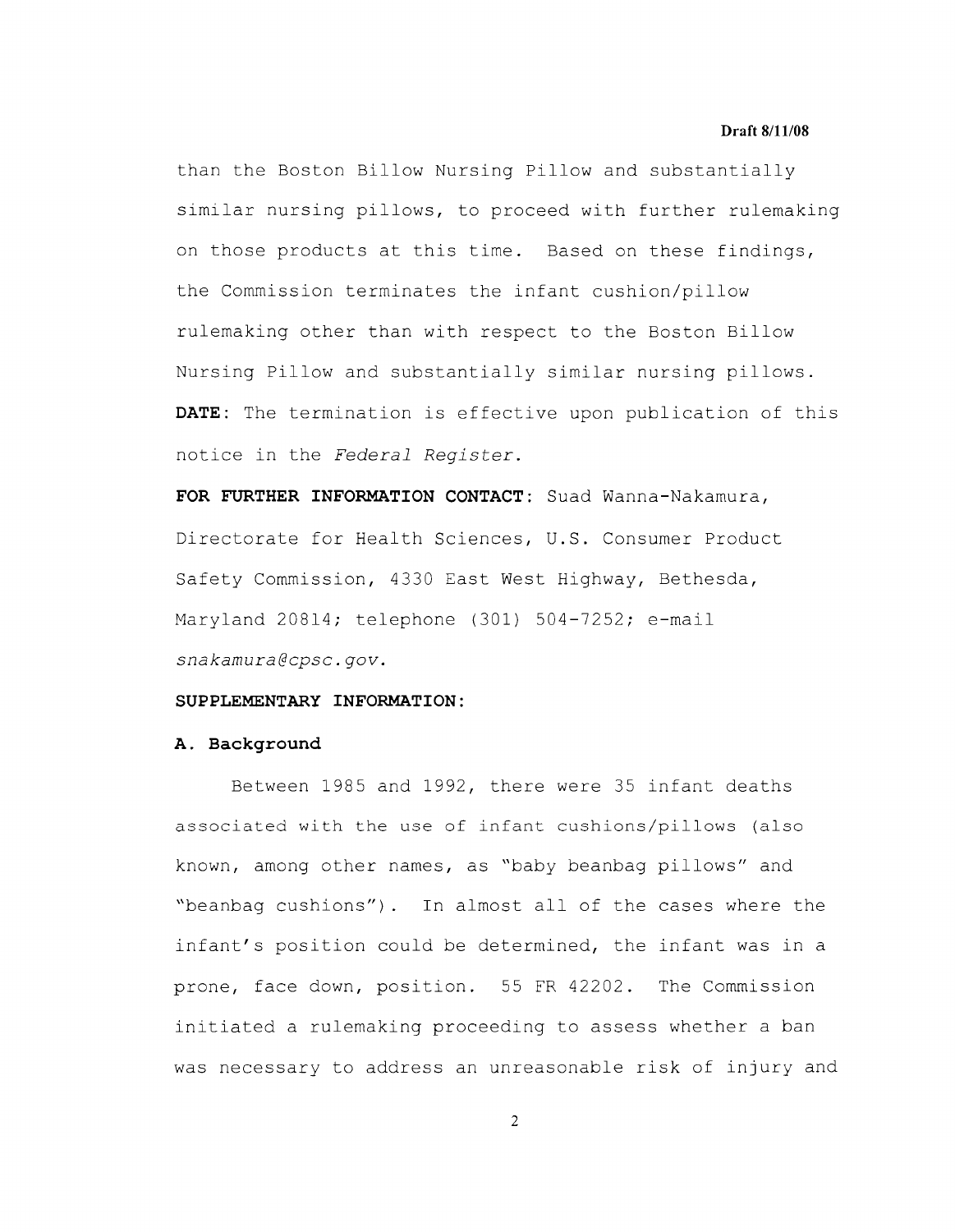than the Boston Billow Nursing Pillow and substantially similar nursing pillows, to proceed with further rulemaking on those products at this time. Based on these findings, the Commission terminates the infant cushion/pillow rulemaking other than with respect to the Boston Billow Nursing Pillow and substantially similar nursing pillows. **DATE:** The termination is effective upon publication of this notice in the *Federal Register.* 

**FOR FURTHER INFORMATION CONTACT:** Suad Wanna-Nakamura, Directorate for Health Sciences, **u.S.** Consumer Product Safety Commission, 4330 East West Highway, Bethesda, Maryland 20814; telephone (301) 504-7252; e-mail *snakamura@cpsc.gov.* 

# **SUPPLEMENTARY INFORMATION:**

### **A. Background**

Between 1985 and 1992, there were 35 infant deaths associated with the use of infant cushions/pillows (also known, among other names, as "baby beanbag pillows" and "beanbag cushions") . In almost all of the cases where the infant's position could be determined, the infant was in a prone, face down, position. 55 FR 42202. The Commission initiated a rulemaking proceeding to assess whether a ban was necessary to address an unreasonable risk of injury and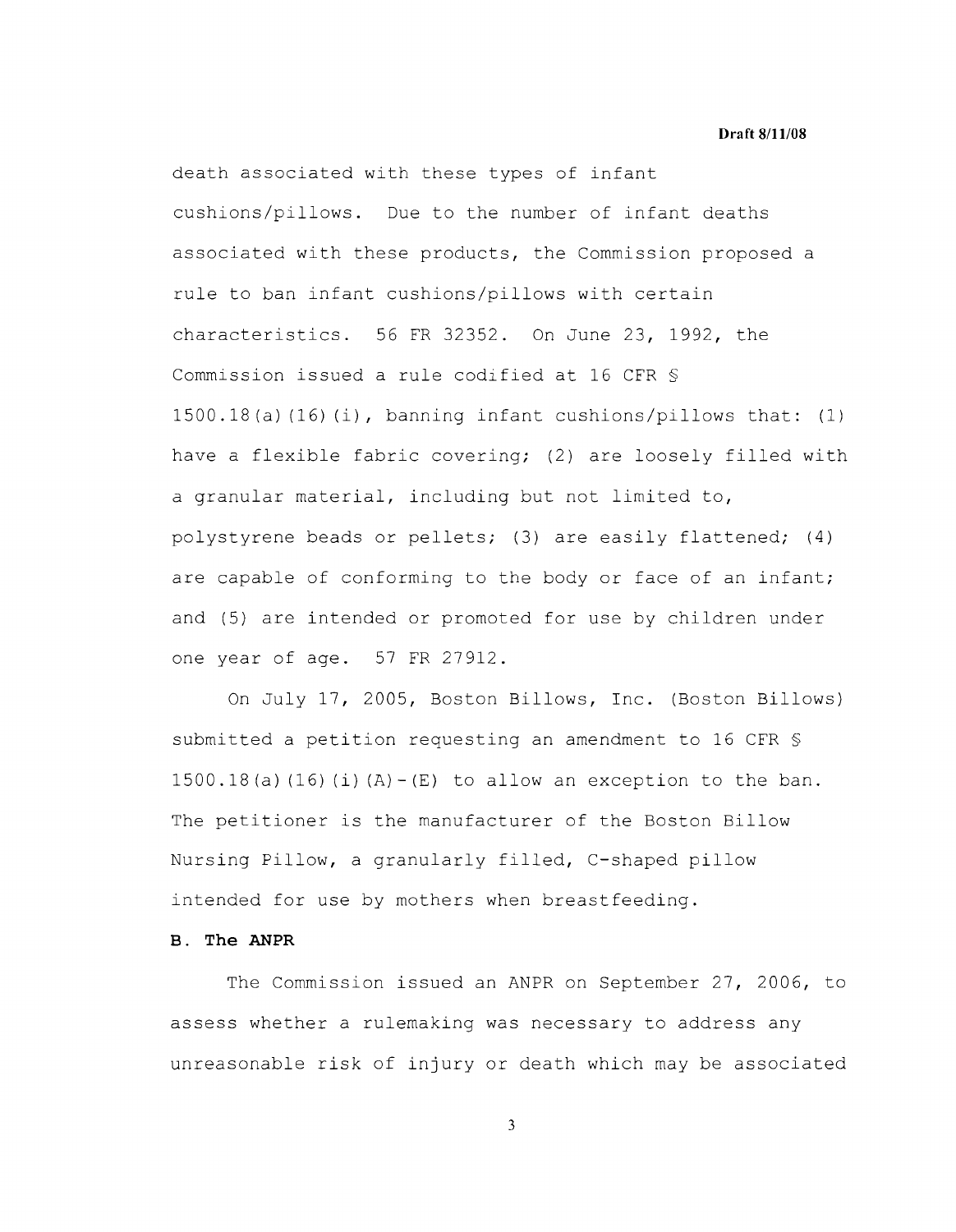death associated with these types of infant cushions/pillows. Due to the number of infant deaths associated with these products, the Commission proposed a rule to ban infant cushions/pillows with certain characteristics. 56 FR 32352. On June 23, 1992, the Commission issued a rule codified at 16 CFR § 1500.18(a)(16)(i), banning infant cushions/pillows that: (1) have a flexible fabric covering; (2) are loosely filled with a granular material, including but not limited to, polystyrene beads or pellets; (3) are easily flattened; (4) are capable of conforming to the body or face of an infant; and (5) are intended or promoted for use by children under one year of age. 57 FR 27912.

On July 17, 2005, Boston Billows, Inc. (Boston Billows) submitted a petition requesting an amendment to 16 CFR §  $1500.18$  (a) (16) (i) (A)  $-$  (E) to allow an exception to the ban. The petitioner is the manufacturer of the Boston Billow Nursing Pillow, a granularly filled, C-shaped pillow intended for use by mothers when breastfeeding.

# **B. The ANPR**

The Commission issued an ANPR on September 27, 2006, to assess whether a rulemaking was necessary to address any unreasonable risk of injury or death which may be associated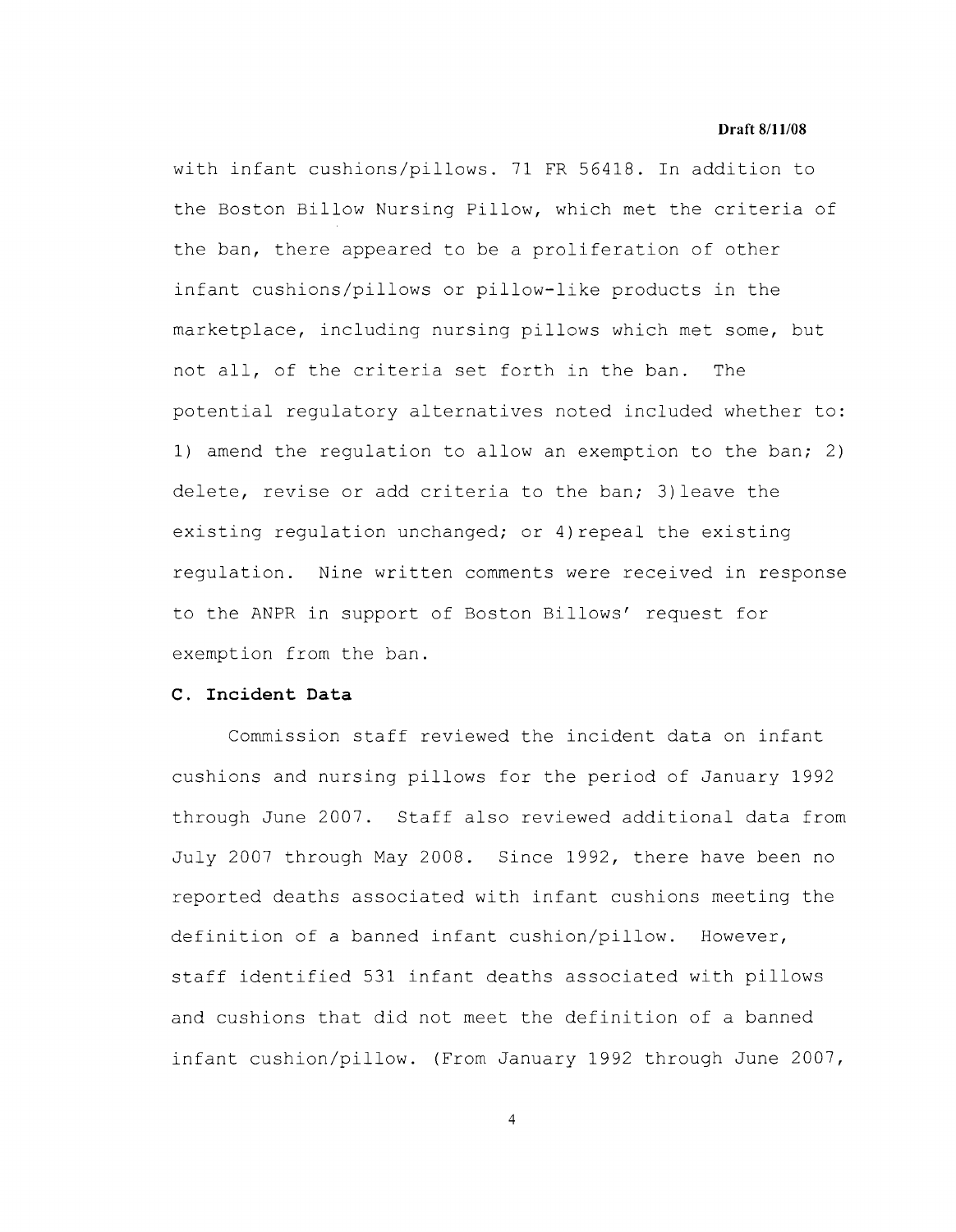with infant cushions/pillows. 71 FR 56418. In addition to the Boston Billow Nursing Pillow, which met the criteria of the ban, there appeared to be a proliferation of other infant cushions/pillows or pillow-like products in the marketplace, including nursing pillows which met some, but not all, of the criteria set forth in the ban. The potential regulatory alternatives noted included whether to: 1) amend the regulation to allow an exemption to the ban; 2) delete, revise or add criteria to the ban; 3)leave the existing regulation unchanged; or 4) repeal the existing regulation. Nine written comments were received in response to the ANPR in support of Boston Billows' request for exemption from the ban.

## **c. Incident Data**

Commission staff reviewed the incident data on infant cushions and nursing pillows for the period of January 1992 through June 2007. Staff also reviewed additional data from July 2007 through May 2008. Since 1992, there have been no reported deaths associated with infant cushions meeting the definition of a banned infant cushion/pillow. However, staff identified 531 infant deaths associated with pillows and cushions that did not meet the definition of a banned infant cushion/pillow. (From January 1992 through June 2007,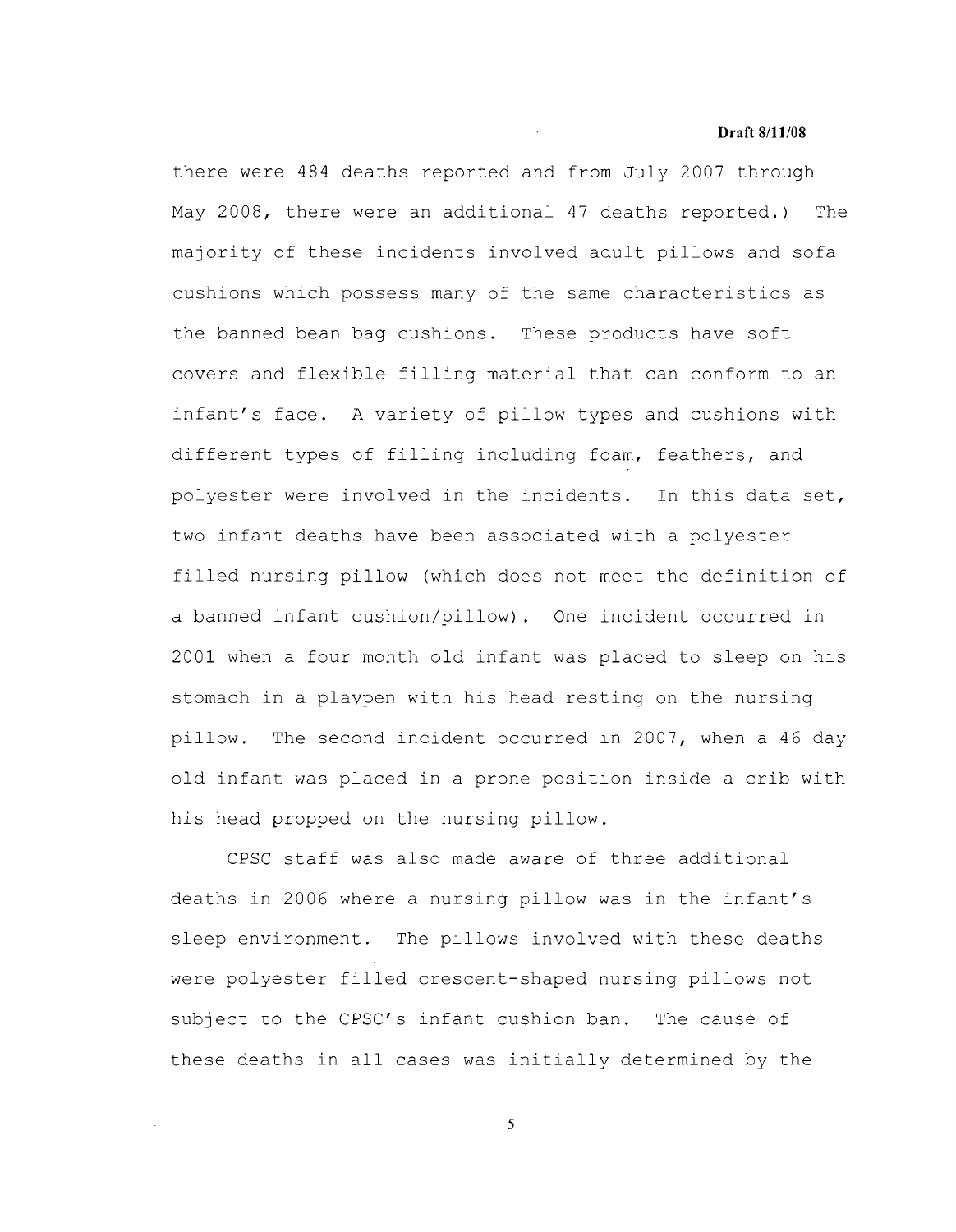there were 484 deaths reported and from July 2007 through May 2008, there were an additional 47 deaths reported.) The majority of these incidents involved adult pillows and sofa cushions which possess many of the same characteristics as the banned bean bag cushions. These products have soft covers and flexible filling material that can conform to an infant's face. A variety of pillow types and cushions with different types of filling including foam, feathers, and polyester were involved in the incidents. In this data set, two infant deaths have been associated with a polyester filled nursing pillow (which does not meet the definition of a banned infant cushion/pillow). One incident occurred in 2001 when a four month old infant was placed to sleep on his stomach in a playpen with his head resting on the nursing pillow. The second incident occurred in 2007, when a 46 day old infant was placed in a prone position inside a crib with his head propped on the nursing pillow.

CPSC staff was also made aware of three additional deaths in 2006 where a nursing pillow was in the infant's sleep environment. The pillows involved with these deaths were polyester filled crescent-shaped nursing pillows not subject to the CPSC's infant cushion ban. The cause of these deaths in all cases was initially determined by the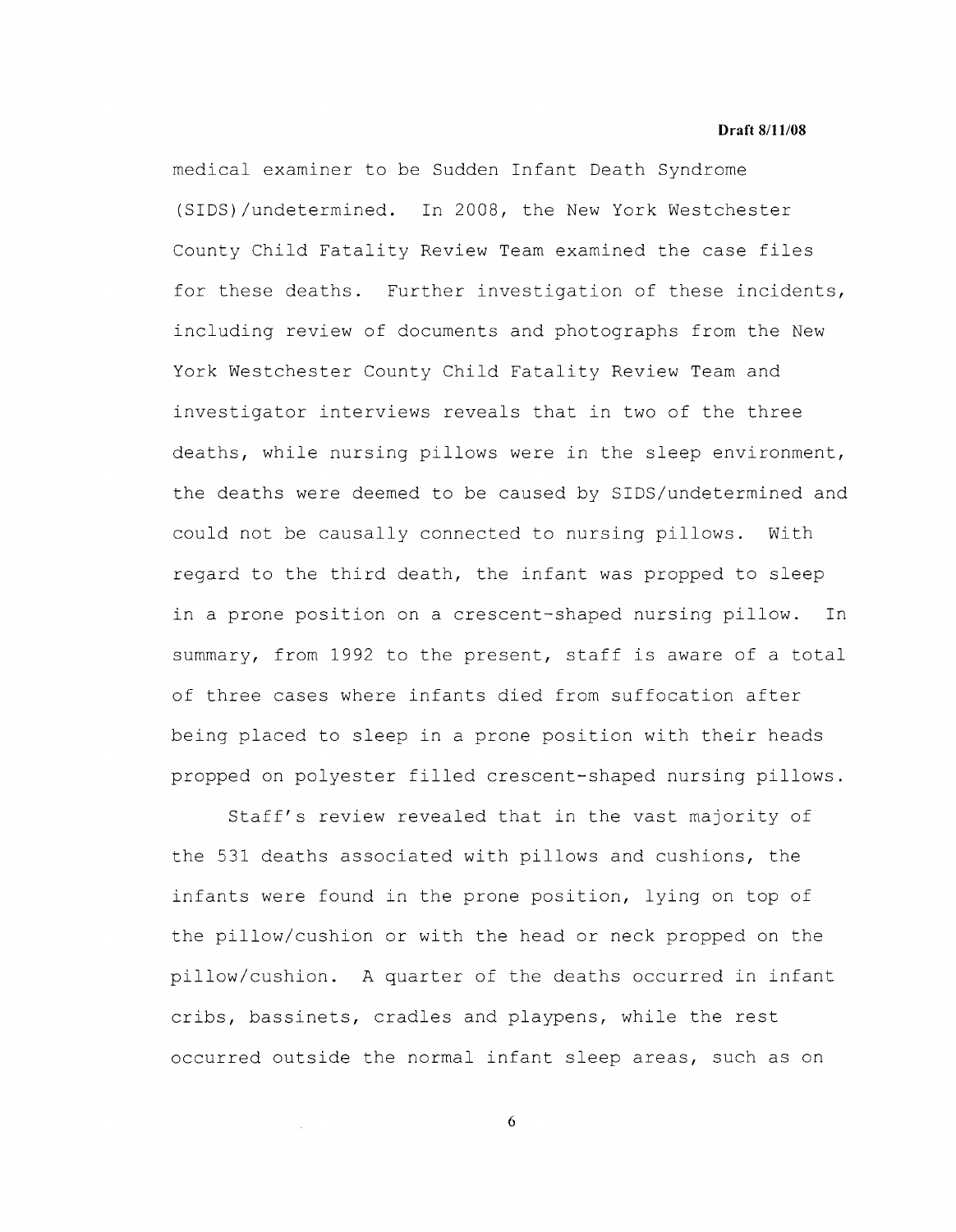medical examiner to be Sudden Infant Death Syndrome (SIDS)/undetermined. In 2008, the New York Westchester County Child Fatality Review Team examined the case files for these deaths. Further investigation of these incidents, including review of documents and photographs from the New York Westchester County Child Fatality Review Team and investigator interviews reveals that in two of the three deaths, while nursing pillows were in the sleep environment, the deaths were deemed to be caused by SIDS/undetermined and could not be causally connected to nursing pillows. With regard to the third death, the infant was propped to sleep in a prone position on a crescent-shaped nursing pillow. In summary, from 1992 to the present, staff is aware of a total of three cases where infants died from suffocation after being placed to sleep in a prone position with their heads propped on polyester filled crescent-shaped nursing pillows.

Staff's review revealed that in the vast majority of the 531 deaths associated with pillows and cushions, the infants were found in the prone position, lying on top of the pillow/cushion or with the head or neck propped on the pillow/cushion. A quarter of the deaths occurred in infant cribs, bassinets, cradles and playpens, while the rest occurred outside the normal infant sleep areas, such as on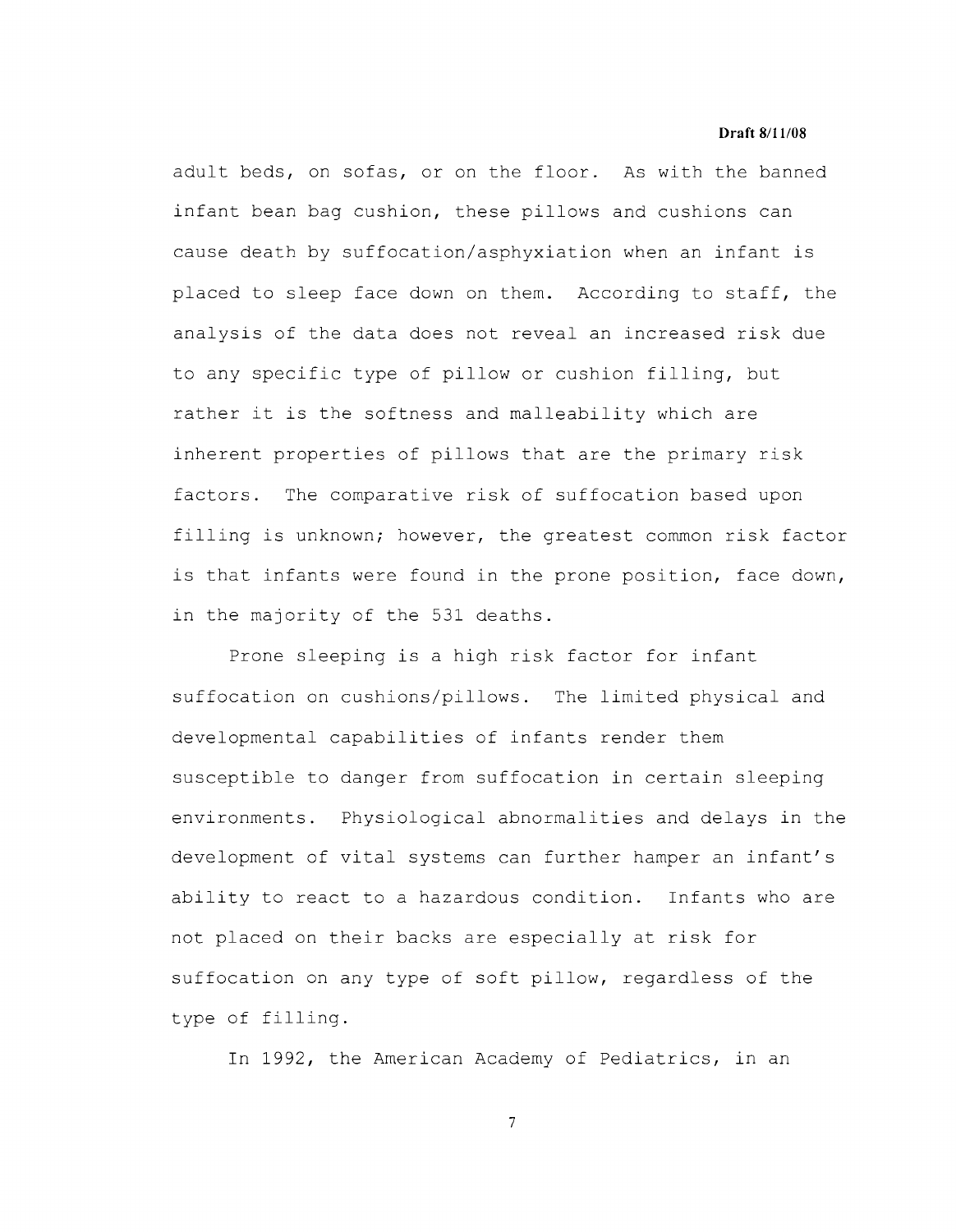adult beds, on sofas, or on the floor. As with the banned infant bean bag cushion, these pillows and cushions can cause death by suffocation/asphyxiation when an infant is placed to sleep face down on them. According to staff, the analysis of the data does not reveal an increased risk due to any specific type of pillow or cushion filling, but rather it is the softness and malleability which are inherent properties of pillows that are the primary risk factors. The comparative risk of suffocation based upon filling is unknown; however, the greatest common risk factor is that infants were found in the prone position, face down, in the majority of the 531 deaths.

Prone sleeping is a high risk factor for infant suffocation on cushions/pillows. The limited physical and developmental capabilities of infants render them susceptible to danger from suffocation in certain sleeping environments. Physiological abnormalities and delays in the development of vital systems can further hamper an infant's ability to react to a hazardous condition. Infants who are not placed on their backs are especially at risk for suffocation on any type of soft pillow, regardless of the type of filling.

In 1992, the American Academy of Pediatrics, in an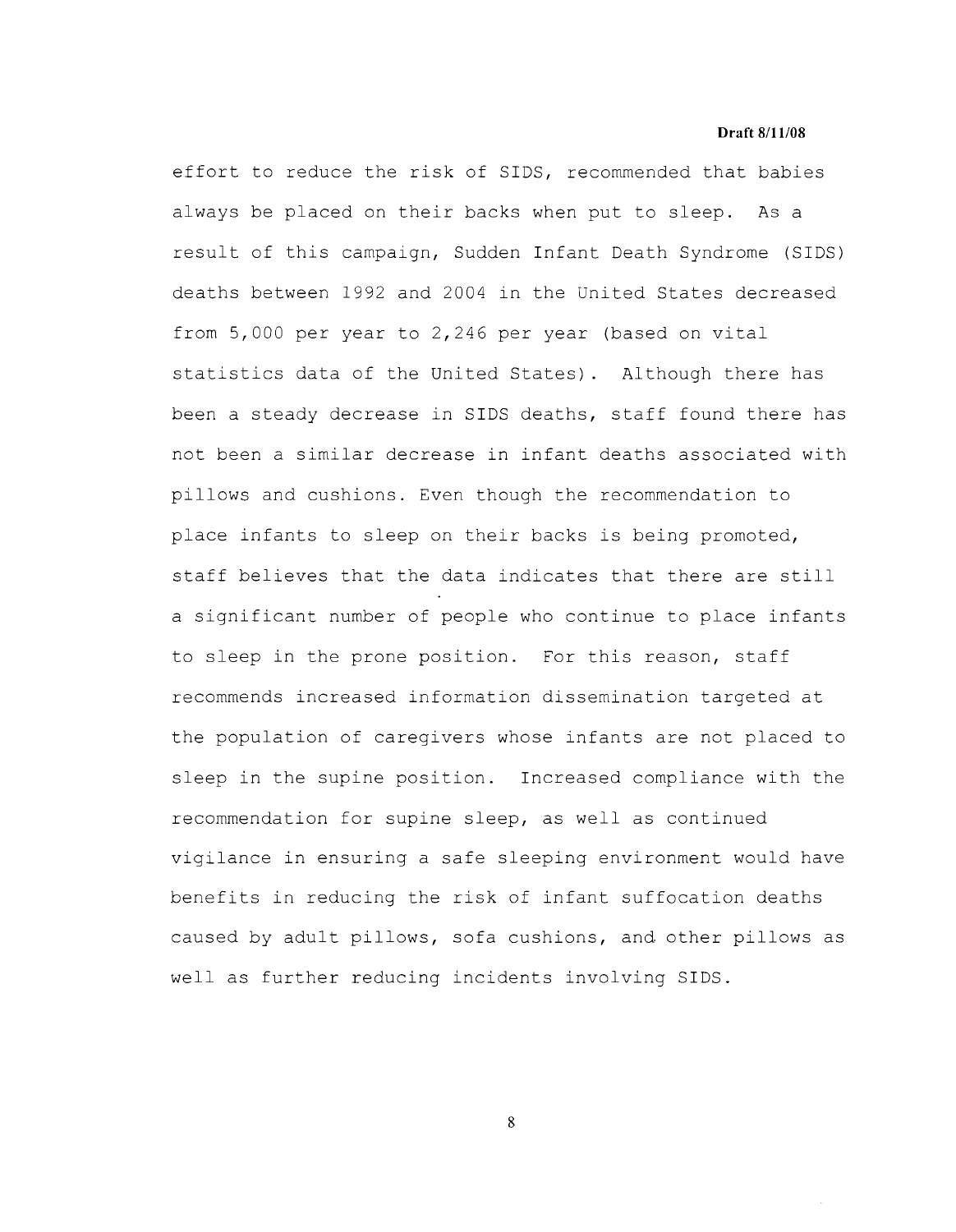effort to reduce the risk of SIDS, recommended that babies always be placed on their backs when put to sleep. As a result of this campaign, Sudden Infant Death Syndrome (SIDS) deaths between 1992 and 2004 in the United States decreased from 5,000 per year to 2,246 per year (based on vital statistics data of the United States). Although there has been a steady decrease in SIDS deaths, staff found there has not been a similar decrease in infant deaths associated with pillows and cushions. Even though the recommendation to place infants to sleep on their backs is being promoted, staff believes that the data indicates that there are still a significant number of people who continue to place infants to sleep in the prone position. For this reason, staff recommends increased information dissemination targeted at the population of caregivers whose infants are not placed to sleep in the supine position. Increased compliance with the recommendation for supine sleep, as well as continued vigilance in ensuring a safe sleeping environment would have benefits in reducing the risk of infant suffocation deaths caused by adult pillows, sofa cushions, and other pillows as well as further reducing incidents involving SIDS.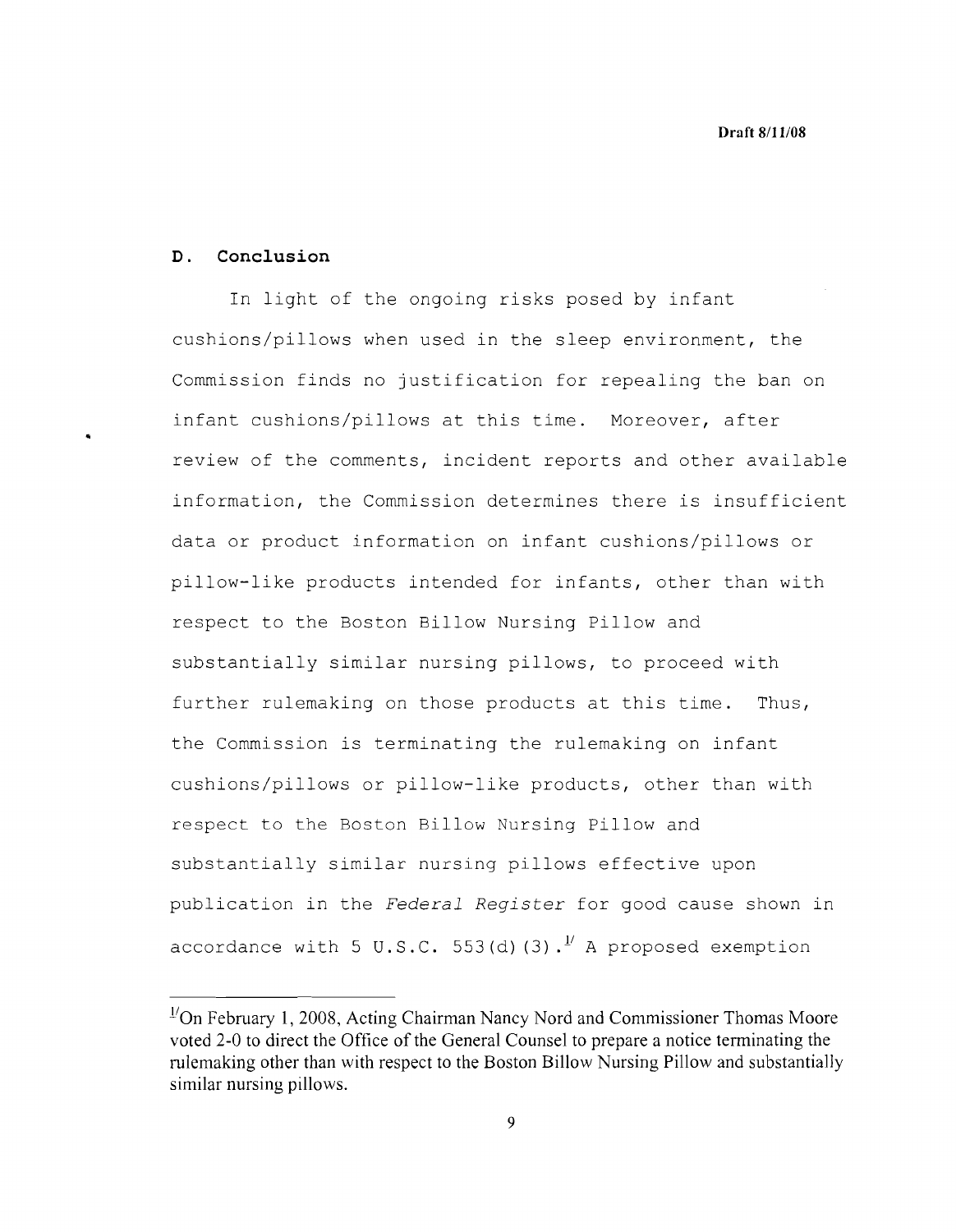## **D. Conclusion**

In light of the ongoing risks posed by infant cushions/pillows when used in the sleep environment, the Commission finds no justification for repealing the ban on infant cushions/pillows at this time. Moreover, after review of the comments, incident reports and other available information, the Commission determines there is insufficient data or product information on infant cushions/pillows or pillow-like products intended for infants, other than with respect to the Boston Billow Nursing Pillow and substantially similar nursing pillows, to proceed with further rulemaking on those products at this time. Thus, the Commission is terminating the rulemaking on infant cushions/pillows or pillow-like products, other than with respect to the Boston Billow Nursing Pillow and substantially similar nursing pillows effective upon publication in the *Federal Register* for good cause shown in accordance with 5 U.S.C. 553(d)  $(3)$ .<sup>1</sup> A proposed exemption

<sup>&</sup>lt;sup>1/</sup>On February 1, 2008, Acting Chairman Nancy Nord and Commissioner Thomas Moore **voted 2-0 to direct the Office of the General Counsel to prepare a notice terminating the rulemaking other than with respect to the Boston Billow Nursing Pillow and substantially similar nursing pillows.**